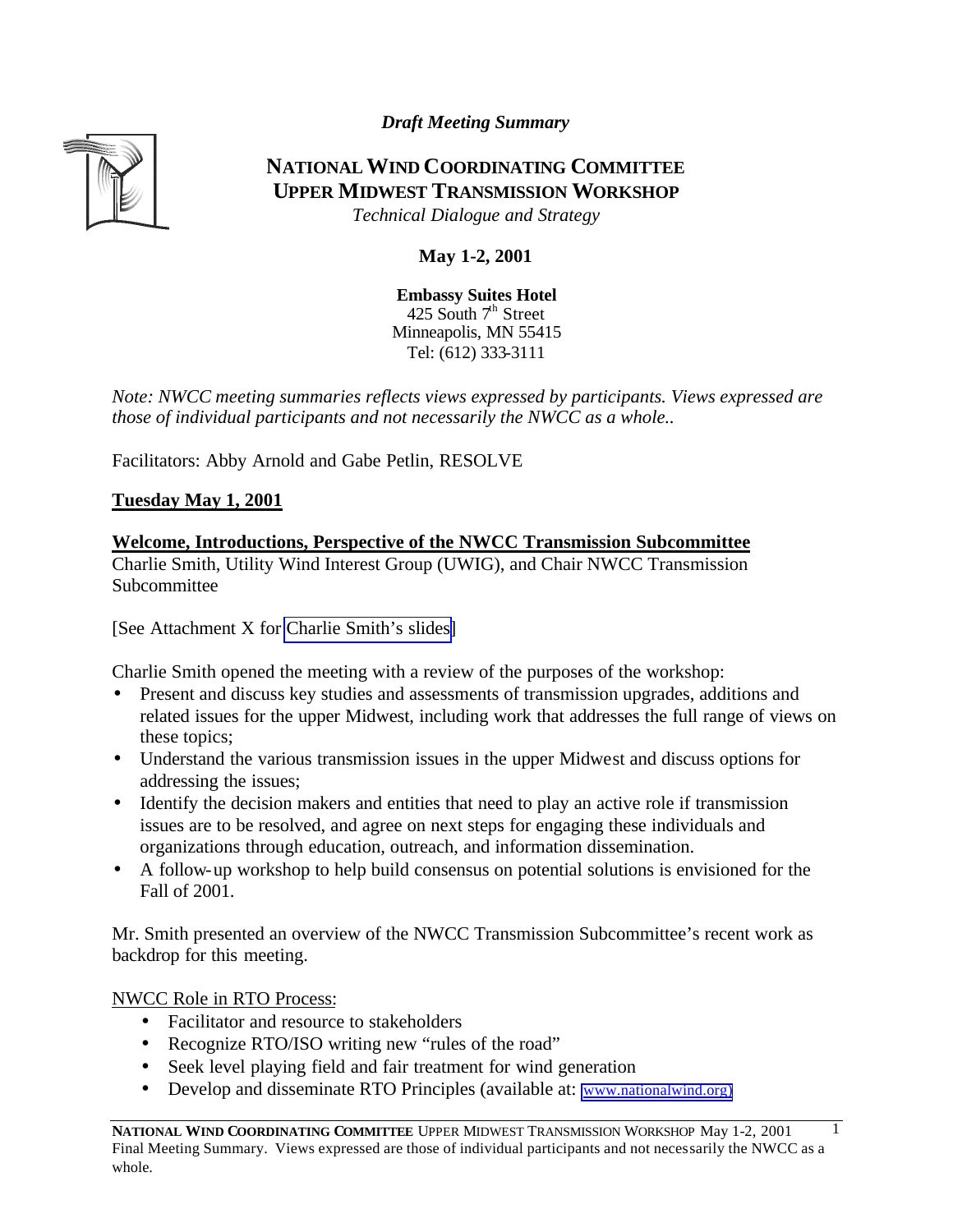*Draft Meeting Summary*



# **NATIONAL WIND COORDINATING COMMITTEE UPPER MIDWEST TRANSMISSION WORKSHOP**

*Technical Dialogue and Strategy*

# **May 1-2, 2001**

**Embassy Suites Hotel** 425 South  $7<sup>th</sup>$  Street Minneapolis, MN 55415 Tel: (612) 333-3111

*Note: NWCC meeting summaries reflects views expressed by participants. Views expressed are those of individual participants and not necessarily the NWCC as a whole..* 

Facilitators: Abby Arnold and Gabe Petlin, RESOLVE

**Tuesday May 1, 2001**

**Welcome, Introductions, Perspective of the NWCC Transmission Subcommittee** Charlie Smith, Utility Wind Interest Group (UWIG), and Chair NWCC Transmission Subcommittee

[See Attachment X for [Charlie Smith's slides\]](http://www.nationalwind.org/events/transmission/presentations/smith.pdf)

Charlie Smith opened the meeting with a review of the purposes of the workshop:

- Present and discuss key studies and assessments of transmission upgrades, additions and related issues for the upper Midwest, including work that addresses the full range of views on these topics;
- Understand the various transmission issues in the upper Midwest and discuss options for addressing the issues;
- Identify the decision makers and entities that need to play an active role if transmission issues are to be resolved, and agree on next steps for engaging these individuals and organizations through education, outreach, and information dissemination.
- A follow-up workshop to help build consensus on potential solutions is envisioned for the Fall of 2001.

Mr. Smith presented an overview of the NWCC Transmission Subcommittee's recent work as backdrop for this meeting.

NWCC Role in RTO Process:

- Facilitator and resource to stakeholders
- Recognize RTO/ISO writing new "rules of the road"
- Seek level playing field and fair treatment for wind generation
- Develop and disseminate RTO Principles (available at: [www.nationalwind.org\)](http://www.nationalwind.org/)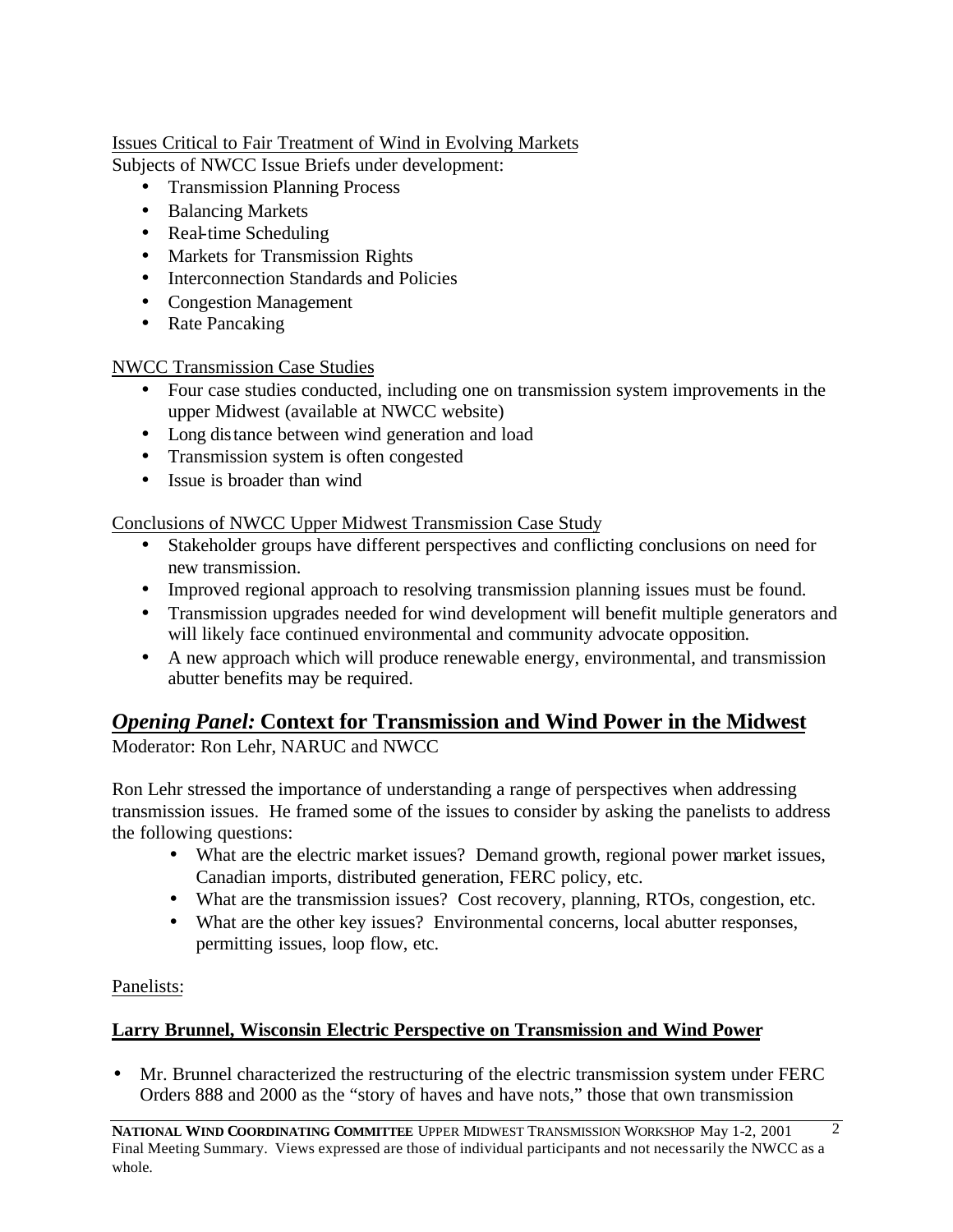# Issues Critical to Fair Treatment of Wind in Evolving Markets

Subjects of NWCC Issue Briefs under development:

- Transmission Planning Process
- Balancing Markets
- Real-time Scheduling
- Markets for Transmission Rights
- Interconnection Standards and Policies
- Congestion Management
- Rate Pancaking

# NWCC Transmission Case Studies

- Four case studies conducted, including one on transmission system improvements in the upper Midwest (available at NWCC website)
- Long distance between wind generation and load
- Transmission system is often congested
- Issue is broader than wind

# Conclusions of NWCC Upper Midwest Transmission Case Study

- Stakeholder groups have different perspectives and conflicting conclusions on need for new transmission.
- Improved regional approach to resolving transmission planning issues must be found.
- Transmission upgrades needed for wind development will benefit multiple generators and will likely face continued environmental and community advocate opposition.
- A new approach which will produce renewable energy, environmental, and transmission abutter benefits may be required.

# *Opening Panel:* **Context for Transmission and Wind Power in the Midwest**

Moderator: Ron Lehr, NARUC and NWCC

Ron Lehr stressed the importance of understanding a range of perspectives when addressing transmission issues. He framed some of the issues to consider by asking the panelists to address the following questions:

- What are the electric market issues? Demand growth, regional power market issues, Canadian imports, distributed generation, FERC policy, etc.
- What are the transmission issues? Cost recovery, planning, RTOs, congestion, etc.
- What are the other key issues? Environmental concerns, local abutter responses, permitting issues, loop flow, etc.

# Panelists:

# **Larry Brunnel, Wisconsin Electric Perspective on Transmission and Wind Power**

• Mr. Brunnel characterized the restructuring of the electric transmission system under FERC Orders 888 and 2000 as the "story of haves and have nots," those that own transmission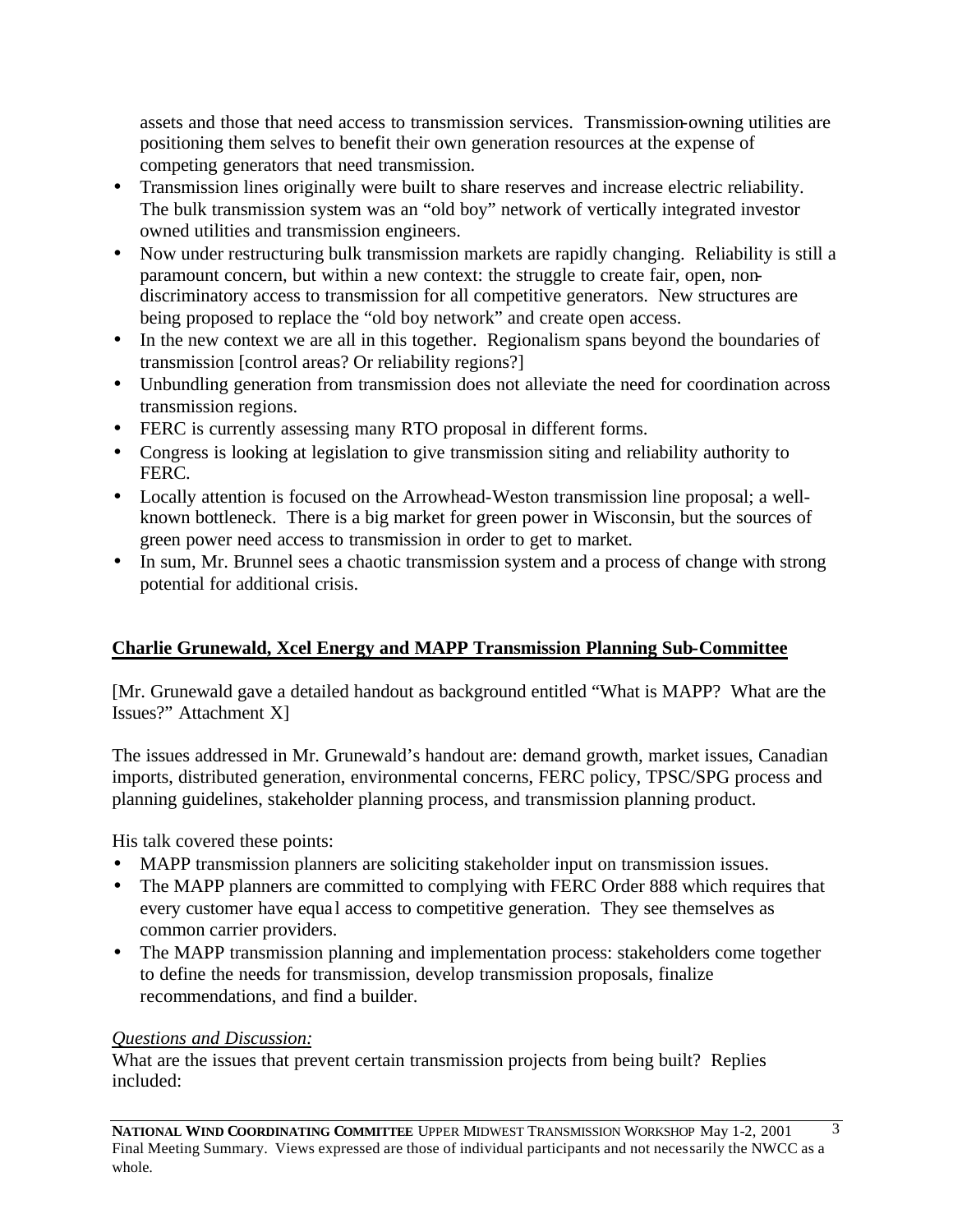assets and those that need access to transmission services. Transmission-owning utilities are positioning them selves to benefit their own generation resources at the expense of competing generators that need transmission.

- Transmission lines originally were built to share reserves and increase electric reliability. The bulk transmission system was an "old boy" network of vertically integrated investor owned utilities and transmission engineers.
- Now under restructuring bulk transmission markets are rapidly changing. Reliability is still a paramount concern, but within a new context: the struggle to create fair, open, nondiscriminatory access to transmission for all competitive generators. New structures are being proposed to replace the "old boy network" and create open access.
- In the new context we are all in this together. Regionalism spans beyond the boundaries of transmission [control areas? Or reliability regions?]
- Unbundling generation from transmission does not alleviate the need for coordination across transmission regions.
- FERC is currently assessing many RTO proposal in different forms.
- Congress is looking at legislation to give transmission siting and reliability authority to FERC.
- Locally attention is focused on the Arrowhead-Weston transmission line proposal; a wellknown bottleneck. There is a big market for green power in Wisconsin, but the sources of green power need access to transmission in order to get to market.
- In sum, Mr. Brunnel sees a chaotic transmission system and a process of change with strong potential for additional crisis.

# **Charlie Grunewald, Xcel Energy and MAPP Transmission Planning Sub-Committee**

[Mr. Grunewald gave a detailed handout as background entitled "What is MAPP? What are the Issues?" Attachment X]

The issues addressed in Mr. Grunewald's handout are: demand growth, market issues, Canadian imports, distributed generation, environmental concerns, FERC policy, TPSC/SPG process and planning guidelines, stakeholder planning process, and transmission planning product.

His talk covered these points:

- MAPP transmission planners are soliciting stakeholder input on transmission issues.
- The MAPP planners are committed to complying with FERC Order 888 which requires that every customer have equal access to competitive generation. They see themselves as common carrier providers.
- The MAPP transmission planning and implementation process: stakeholders come together to define the needs for transmission, develop transmission proposals, finalize recommendations, and find a builder.

# *Questions and Discussion:*

What are the issues that prevent certain transmission projects from being built? Replies included: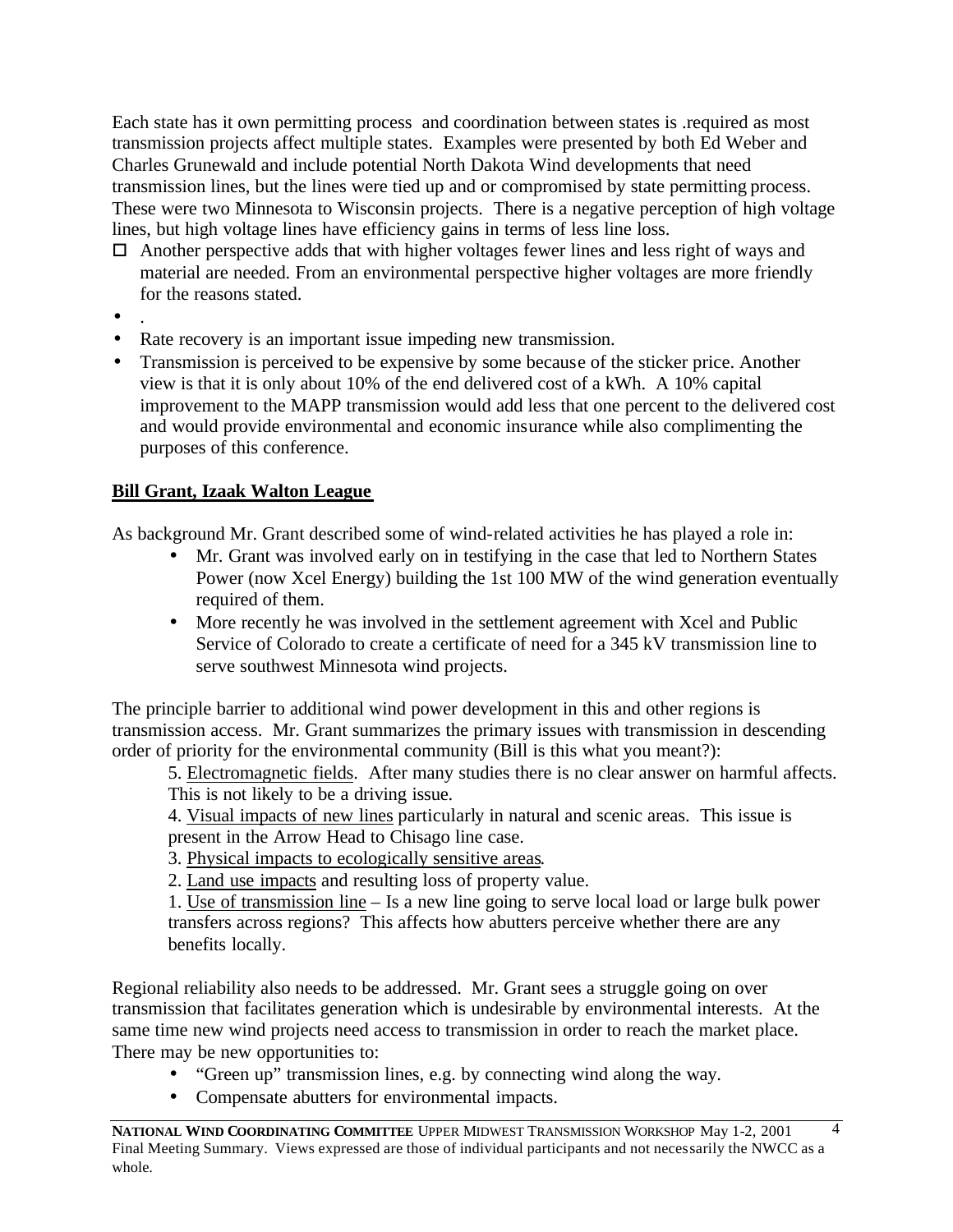Each state has it own permitting process and coordination between states is .required as most transmission projects affect multiple states. Examples were presented by both Ed Weber and Charles Grunewald and include potential North Dakota Wind developments that need transmission lines, but the lines were tied up and or compromised by state permitting process. These were two Minnesota to Wisconsin projects. There is a negative perception of high voltage lines, but high voltage lines have efficiency gains in terms of less line loss.

- $\Box$  Another perspective adds that with higher voltages fewer lines and less right of ways and material are needed. From an environmental perspective higher voltages are more friendly for the reasons stated.
- .
- Rate recovery is an important issue impeding new transmission.
- Transmission is perceived to be expensive by some because of the sticker price. Another view is that it is only about 10% of the end delivered cost of a kWh. A 10% capital improvement to the MAPP transmission would add less that one percent to the delivered cost and would provide environmental and economic insurance while also complimenting the purposes of this conference.

# **Bill Grant, Izaak Walton League**

As background Mr. Grant described some of wind-related activities he has played a role in:

- Mr. Grant was involved early on in testifying in the case that led to Northern States Power (now Xcel Energy) building the 1st 100 MW of the wind generation eventually required of them.
- More recently he was involved in the settlement agreement with Xcel and Public Service of Colorado to create a certificate of need for a 345 kV transmission line to serve southwest Minnesota wind projects.

The principle barrier to additional wind power development in this and other regions is transmission access. Mr. Grant summarizes the primary issues with transmission in descending order of priority for the environmental community (Bill is this what you meant?):

5. Electromagnetic fields. After many studies there is no clear answer on harmful affects. This is not likely to be a driving issue.

4. Visual impacts of new lines particularly in natural and scenic areas. This issue is present in the Arrow Head to Chisago line case.

3. Physical impacts to ecologically sensitive areas.

2. Land use impacts and resulting loss of property value.

1. Use of transmission line – Is a new line going to serve local load or large bulk power transfers across regions? This affects how abutters perceive whether there are any benefits locally.

Regional reliability also needs to be addressed. Mr. Grant sees a struggle going on over transmission that facilitates generation which is undesirable by environmental interests. At the same time new wind projects need access to transmission in order to reach the market place. There may be new opportunities to:

- "Green up" transmission lines, e.g. by connecting wind along the way.
- Compensate abutters for environmental impacts.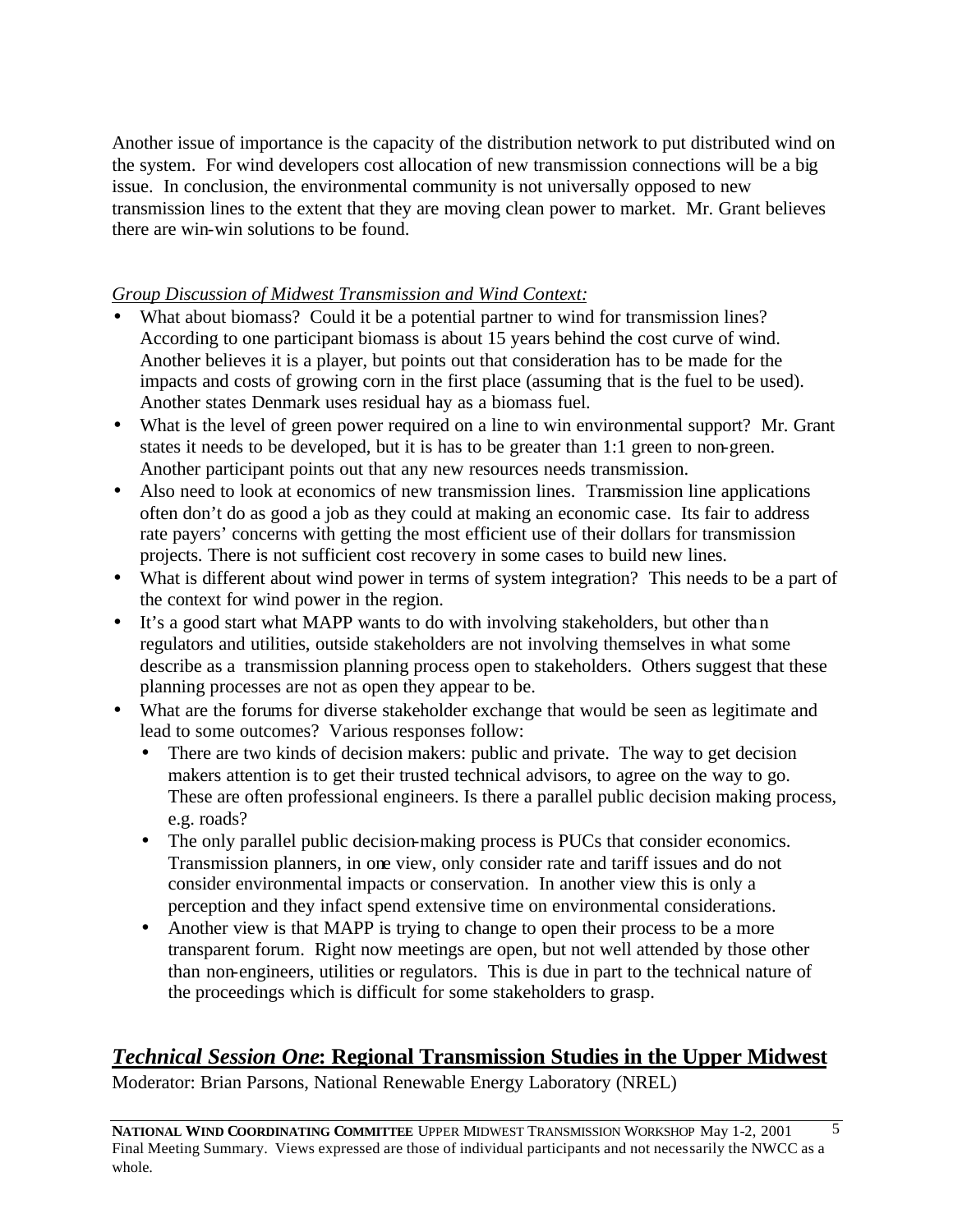Another issue of importance is the capacity of the distribution network to put distributed wind on the system. For wind developers cost allocation of new transmission connections will be a big issue. In conclusion, the environmental community is not universally opposed to new transmission lines to the extent that they are moving clean power to market. Mr. Grant believes there are win-win solutions to be found.

### *Group Discussion of Midwest Transmission and Wind Context:*

- What about biomass? Could it be a potential partner to wind for transmission lines? According to one participant biomass is about 15 years behind the cost curve of wind. Another believes it is a player, but points out that consideration has to be made for the impacts and costs of growing corn in the first place (assuming that is the fuel to be used). Another states Denmark uses residual hay as a biomass fuel.
- What is the level of green power required on a line to win environmental support? Mr. Grant states it needs to be developed, but it is has to be greater than 1:1 green to non-green. Another participant points out that any new resources needs transmission.
- Also need to look at economics of new transmission lines. Transmission line applications often don't do as good a job as they could at making an economic case. Its fair to address rate payers' concerns with getting the most efficient use of their dollars for transmission projects. There is not sufficient cost recovery in some cases to build new lines.
- What is different about wind power in terms of system integration? This needs to be a part of the context for wind power in the region.
- It's a good start what MAPP wants to do with involving stakeholders, but other than regulators and utilities, outside stakeholders are not involving themselves in what some describe as a transmission planning process open to stakeholders. Others suggest that these planning processes are not as open they appear to be.
- What are the forums for diverse stakeholder exchange that would be seen as legitimate and lead to some outcomes? Various responses follow:
	- There are two kinds of decision makers: public and private. The way to get decision makers attention is to get their trusted technical advisors, to agree on the way to go. These are often professional engineers. Is there a parallel public decision making process, e.g. roads?
	- The only parallel public decision-making process is PUCs that consider economics. Transmission planners, in one view, only consider rate and tariff issues and do not consider environmental impacts or conservation. In another view this is only a perception and they infact spend extensive time on environmental considerations.
	- Another view is that MAPP is trying to change to open their process to be a more transparent forum. Right now meetings are open, but not well attended by those other than non-engineers, utilities or regulators. This is due in part to the technical nature of the proceedings which is difficult for some stakeholders to grasp.

# *Technical Session One***: Regional Transmission Studies in the Upper Midwest**

Moderator: Brian Parsons, National Renewable Energy Laboratory (NREL)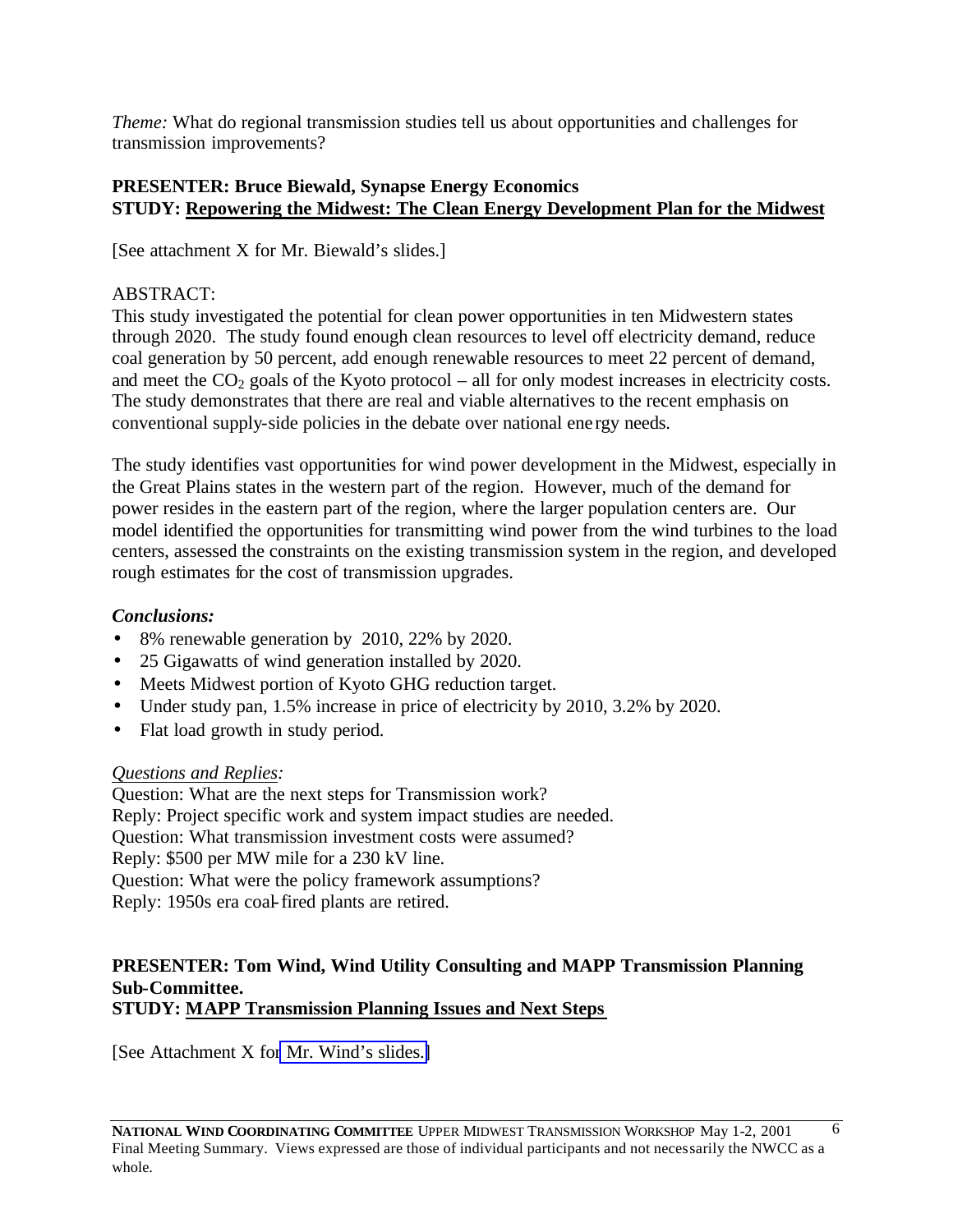*Theme:* What do regional transmission studies tell us about opportunities and challenges for transmission improvements?

# **PRESENTER: Bruce Biewald, Synapse Energy Economics STUDY: Repowering the Midwest: The Clean Energy Development Plan for the Midwest**

[See attachment X for Mr. Biewald's slides.]

# ABSTRACT:

This study investigated the potential for clean power opportunities in ten Midwestern states through 2020. The study found enough clean resources to level off electricity demand, reduce coal generation by 50 percent, add enough renewable resources to meet 22 percent of demand, and meet the  $CO<sub>2</sub>$  goals of the Kyoto protocol – all for only modest increases in electricity costs. The study demonstrates that there are real and viable alternatives to the recent emphasis on conventional supply-side policies in the debate over national ene rgy needs.

The study identifies vast opportunities for wind power development in the Midwest, especially in the Great Plains states in the western part of the region. However, much of the demand for power resides in the eastern part of the region, where the larger population centers are. Our model identified the opportunities for transmitting wind power from the wind turbines to the load centers, assessed the constraints on the existing transmission system in the region, and developed rough estimates for the cost of transmission upgrades.

### *Conclusions:*

- 8% renewable generation by 2010, 22% by 2020.
- 25 Gigawatts of wind generation installed by 2020.
- Meets Midwest portion of Kyoto GHG reduction target.
- Under study pan, 1.5% increase in price of electricity by 2010, 3.2% by 2020.
- Flat load growth in study period.

### *Questions and Replies:*

Question: What are the next steps for Transmission work? Reply: Project specific work and system impact studies are needed. Question: What transmission investment costs were assumed? Reply: \$500 per MW mile for a 230 kV line. Question: What were the policy framework assumptions? Reply: 1950s era coal-fired plants are retired.

#### **PRESENTER: Tom Wind, Wind Utility Consulting and MAPP Transmission Planning Sub-Committee. STUDY: MAPP Transmission Planning Issues and Next Steps**

[See Attachment X fo[r Mr. Wind's slides.\]](http://www.nationalwind.org/events/transmission/presentations/wind.pdf)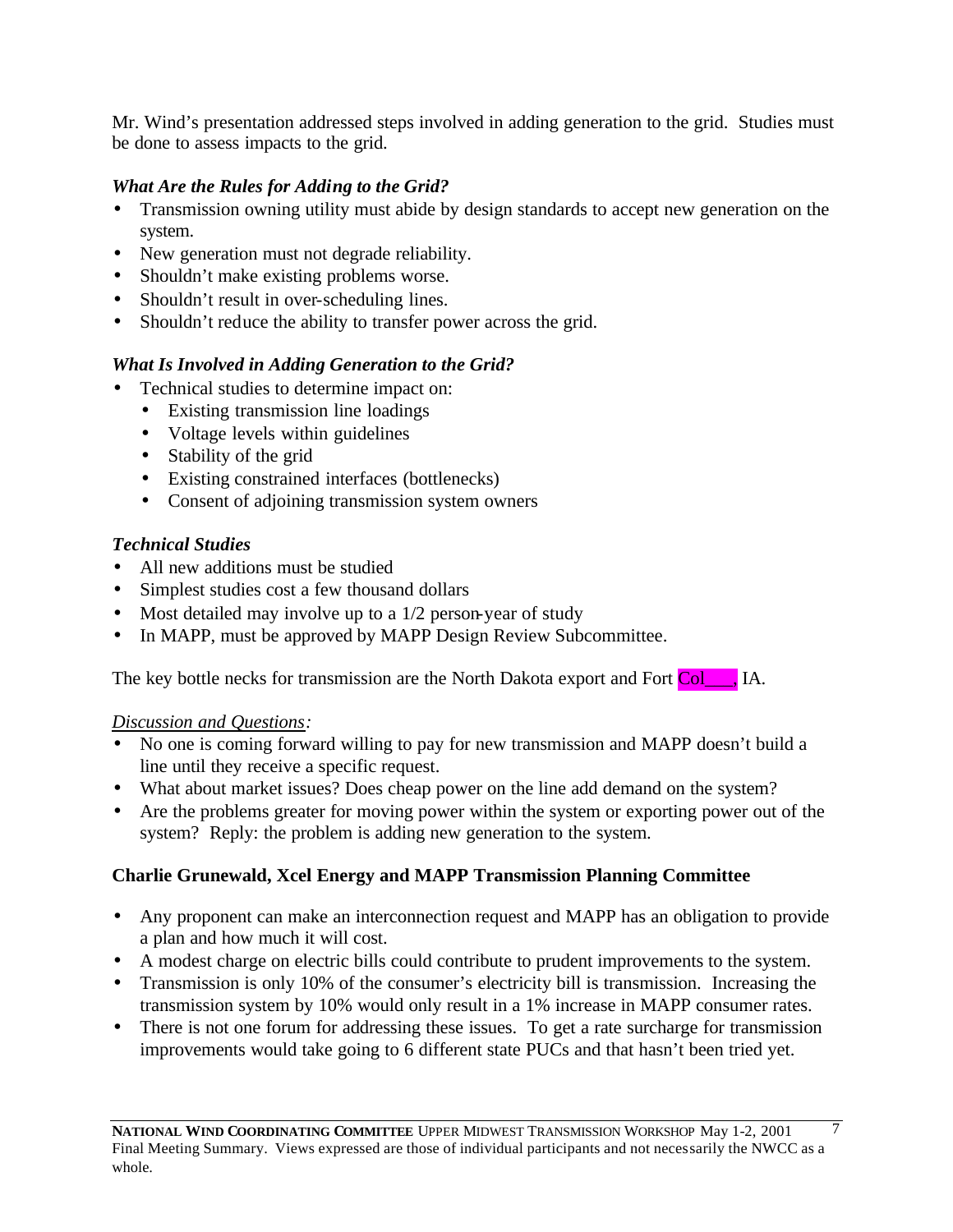Mr. Wind's presentation addressed steps involved in adding generation to the grid. Studies must be done to assess impacts to the grid.

# *What Are the Rules for Adding to the Grid?*

- Transmission owning utility must abide by design standards to accept new generation on the system.
- New generation must not degrade reliability.
- Shouldn't make existing problems worse.
- Shouldn't result in over-scheduling lines.
- Shouldn't reduce the ability to transfer power across the grid.

# *What Is Involved in Adding Generation to the Grid?*

- Technical studies to determine impact on:
	- Existing transmission line loadings
	- Voltage levels within guidelines
	- Stability of the grid
	- Existing constrained interfaces (bottlenecks)
	- Consent of adjoining transmission system owners

# *Technical Studies*

- All new additions must be studied
- Simplest studies cost a few thousand dollars
- Most detailed may involve up to a 1/2 person-year of study
- In MAPP, must be approved by MAPP Design Review Subcommittee.

The key bottle necks for transmission are the North Dakota export and Fort Col\_\_\_, IA.

### *Discussion and Questions:*

- No one is coming forward willing to pay for new transmission and MAPP doesn't build a line until they receive a specific request.
- What about market issues? Does cheap power on the line add demand on the system?
- Are the problems greater for moving power within the system or exporting power out of the system? Reply: the problem is adding new generation to the system.

# **Charlie Grunewald, Xcel Energy and MAPP Transmission Planning Committee**

- Any proponent can make an interconnection request and MAPP has an obligation to provide a plan and how much it will cost.
- A modest charge on electric bills could contribute to prudent improvements to the system.
- Transmission is only 10% of the consumer's electricity bill is transmission. Increasing the transmission system by 10% would only result in a 1% increase in MAPP consumer rates.
- There is not one forum for addressing these issues. To get a rate surcharge for transmission improvements would take going to 6 different state PUCs and that hasn't been tried yet.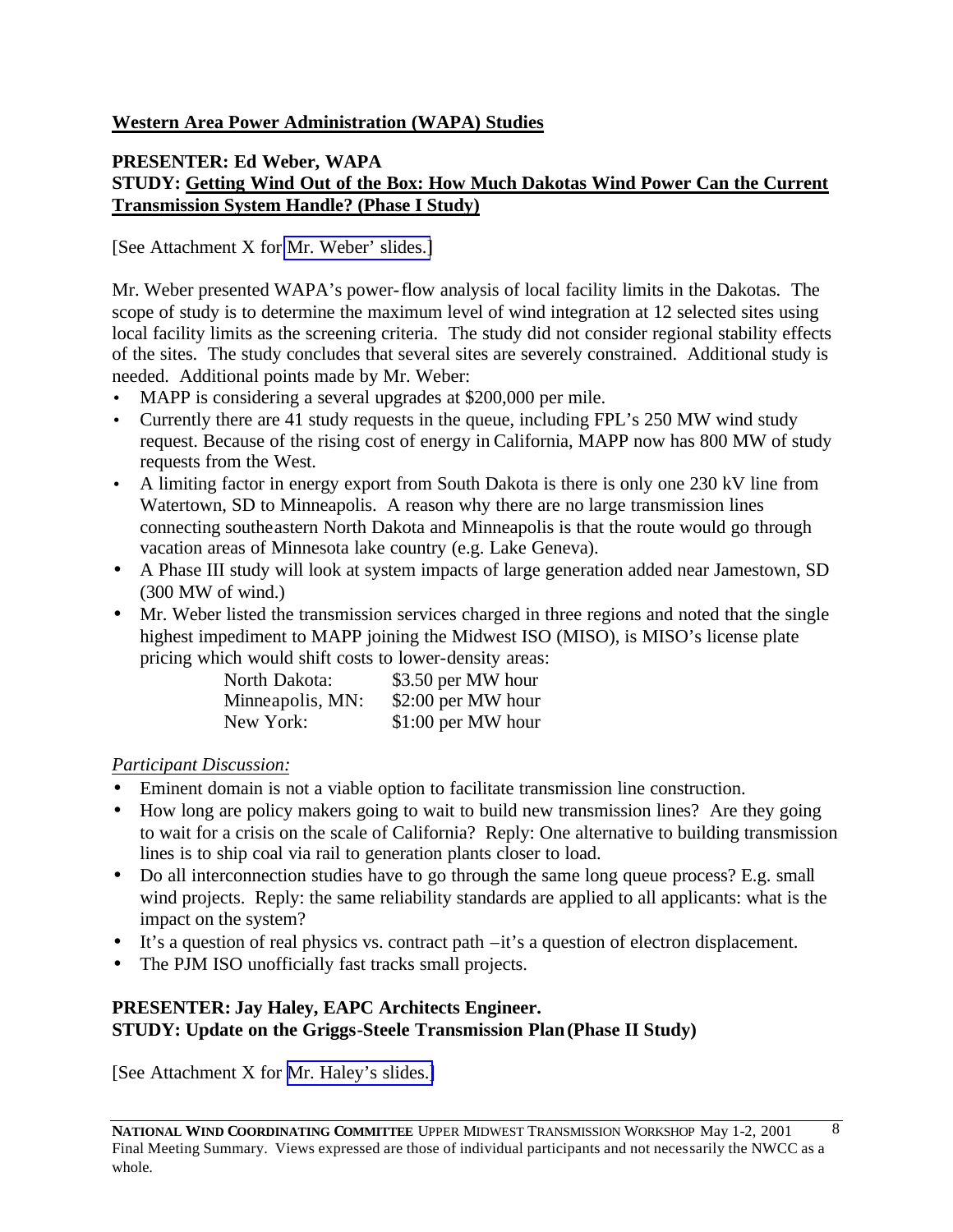# **Western Area Power Administration (WAPA) Studies**

### **PRESENTER: Ed Weber, WAPA STUDY: Getting Wind Out of the Box: How Much Dakotas Wind Power Can the Current Transmission System Handle? (Phase I Study)**

[See Attachment X for [Mr. Weber' slides.\]](http://www.nationalwind.org/events/transmission/presentations/weber.pdf)

Mr. Weber presented WAPA's power-flow analysis of local facility limits in the Dakotas. The scope of study is to determine the maximum level of wind integration at 12 selected sites using local facility limits as the screening criteria. The study did not consider regional stability effects of the sites. The study concludes that several sites are severely constrained. Additional study is needed. Additional points made by Mr. Weber:

- MAPP is considering a several upgrades at \$200,000 per mile.
- Currently there are 41 study requests in the queue, including FPL's 250 MW wind study request. Because of the rising cost of energy in California, MAPP now has 800 MW of study requests from the West.
- A limiting factor in energy export from South Dakota is there is only one 230 kV line from Watertown, SD to Minneapolis. A reason why there are no large transmission lines connecting southeastern North Dakota and Minneapolis is that the route would go through vacation areas of Minnesota lake country (e.g. Lake Geneva).
- A Phase III study will look at system impacts of large generation added near Jamestown, SD (300 MW of wind.)
- Mr. Weber listed the transmission services charged in three regions and noted that the single highest impediment to MAPP joining the Midwest ISO (MISO), is MISO's license plate pricing which would shift costs to lower-density areas:

| North Dakota:    | \$3.50 per MW hour  |
|------------------|---------------------|
| Minneapolis, MN: | \$2:00 per MW hour  |
| New York:        | $$1:00$ per MW hour |

# *Participant Discussion:*

- Eminent domain is not a viable option to facilitate transmission line construction.
- How long are policy makers going to wait to build new transmission lines? Are they going to wait for a crisis on the scale of California? Reply: One alternative to building transmission lines is to ship coal via rail to generation plants closer to load.
- Do all interconnection studies have to go through the same long queue process? E.g. small wind projects. Reply: the same reliability standards are applied to all applicants: what is the impact on the system?
- It's a question of real physics vs. contract path –it's a question of electron displacement.
- The PJM ISO unofficially fast tracks small projects.

# **PRESENTER: Jay Haley, EAPC Architects Engineer. STUDY: Update on the Griggs-Steele Transmission Plan (Phase II Study)**

[See Attachment X for [Mr. Haley's slides.\]](http://www.nationalwind.org/events/transmission/presentations/haley.pdf)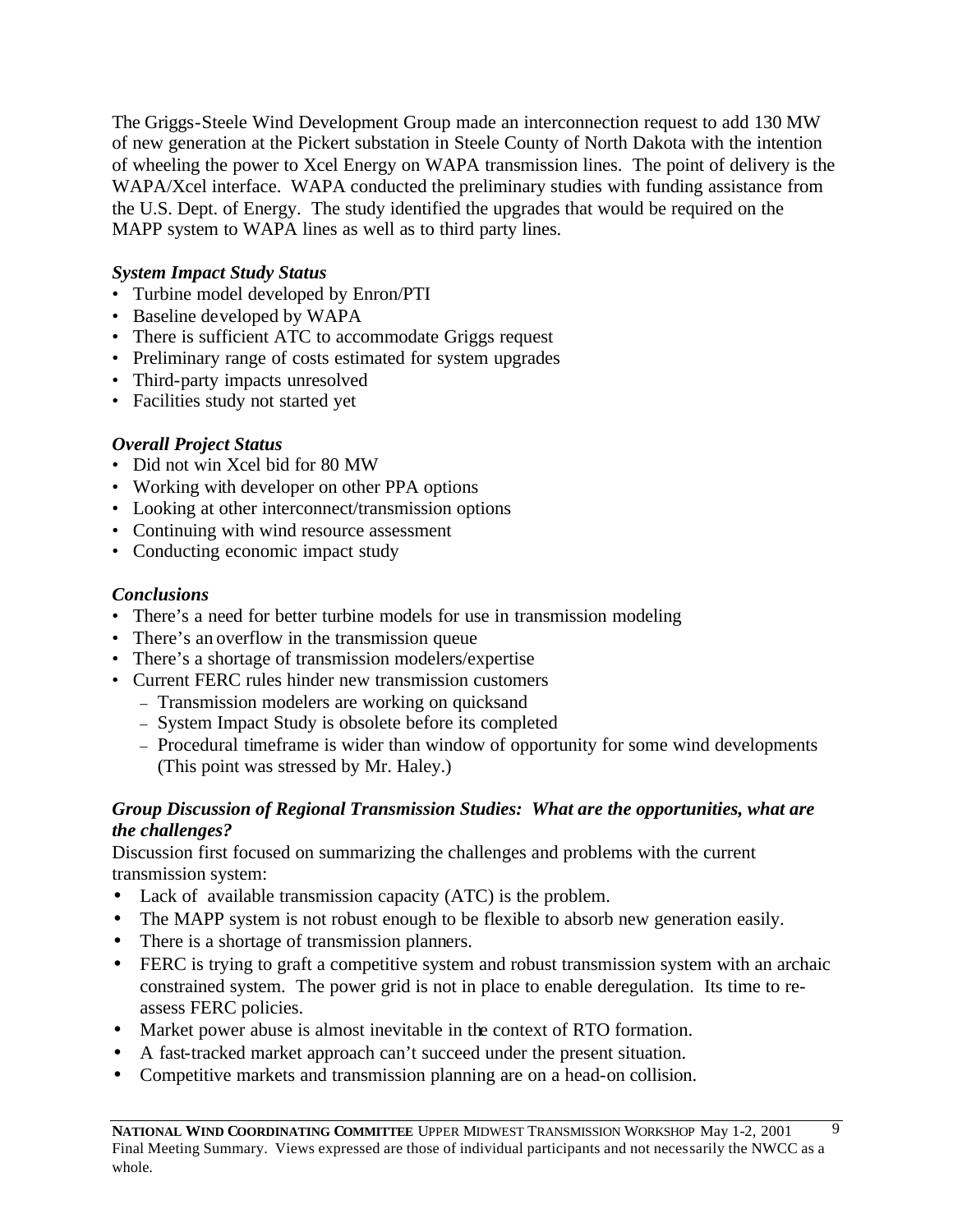The Griggs-Steele Wind Development Group made an interconnection request to add 130 MW of new generation at the Pickert substation in Steele County of North Dakota with the intention of wheeling the power to Xcel Energy on WAPA transmission lines. The point of delivery is the WAPA/Xcel interface. WAPA conducted the preliminary studies with funding assistance from the U.S. Dept. of Energy. The study identified the upgrades that would be required on the MAPP system to WAPA lines as well as to third party lines.

### *System Impact Study Status*

- Turbine model developed by Enron/PTI
- Baseline developed by WAPA
- There is sufficient ATC to accommodate Griggs request
- Preliminary range of costs estimated for system upgrades
- Third-party impacts unresolved
- Facilities study not started yet

# *Overall Project Status*

- Did not win Xcel bid for 80 MW
- Working with developer on other PPA options
- Looking at other interconnect/transmission options
- Continuing with wind resource assessment
- Conducting economic impact study

# *Conclusions*

- There's a need for better turbine models for use in transmission modeling
- There's an overflow in the transmission queue
- There's a shortage of transmission modelers/expertise
- Current FERC rules hinder new transmission customers
	- Transmission modelers are working on quicksand
	- System Impact Study is obsolete before its completed
	- Procedural timeframe is wider than window of opportunity for some wind developments (This point was stressed by Mr. Haley.)

### *Group Discussion of Regional Transmission Studies: What are the opportunities, what are the challenges?*

Discussion first focused on summarizing the challenges and problems with the current transmission system:

- Lack of available transmission capacity (ATC) is the problem.
- The MAPP system is not robust enough to be flexible to absorb new generation easily.
- There is a shortage of transmission planners.
- FERC is trying to graft a competitive system and robust transmission system with an archaic constrained system. The power grid is not in place to enable deregulation. Its time to reassess FERC policies.
- Market power abuse is almost inevitable in the context of RTO formation.
- A fast-tracked market approach can't succeed under the present situation.
- Competitive markets and transmission planning are on a head-on collision.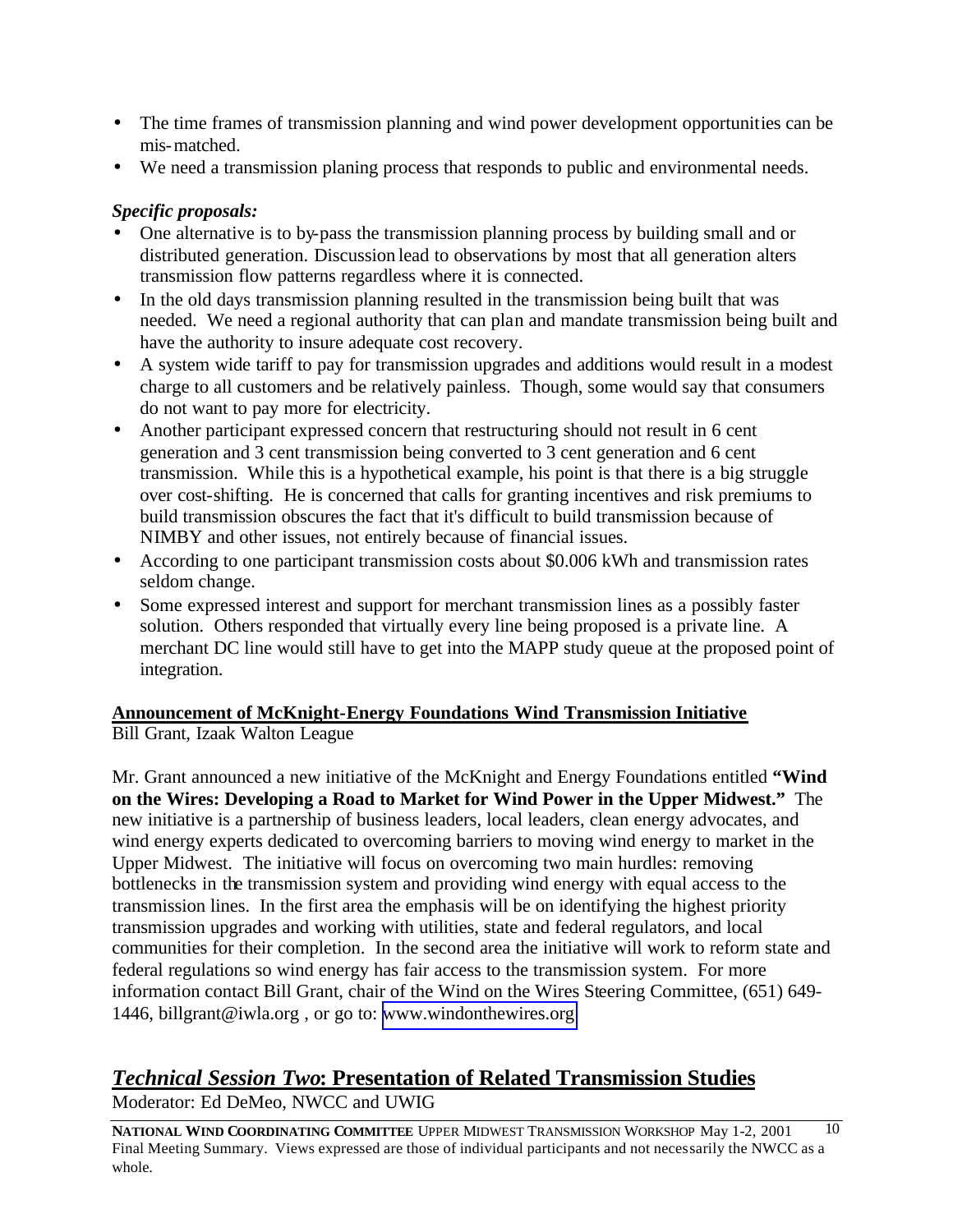- The time frames of transmission planning and wind power development opportunities can be mis-matched.
- We need a transmission planing process that responds to public and environmental needs.

# *Specific proposals:*

- One alternative is to by-pass the transmission planning process by building small and or distributed generation. Discussion lead to observations by most that all generation alters transmission flow patterns regardless where it is connected.
- In the old days transmission planning resulted in the transmission being built that was needed. We need a regional authority that can plan and mandate transmission being built and have the authority to insure adequate cost recovery.
- A system wide tariff to pay for transmission upgrades and additions would result in a modest charge to all customers and be relatively painless. Though, some would say that consumers do not want to pay more for electricity.
- Another participant expressed concern that restructuring should not result in 6 cent generation and 3 cent transmission being converted to 3 cent generation and 6 cent transmission. While this is a hypothetical example, his point is that there is a big struggle over cost-shifting. He is concerned that calls for granting incentives and risk premiums to build transmission obscures the fact that it's difficult to build transmission because of NIMBY and other issues, not entirely because of financial issues.
- According to one participant transmission costs about \$0.006 kWh and transmission rates seldom change.
- Some expressed interest and support for merchant transmission lines as a possibly faster solution. Others responded that virtually every line being proposed is a private line. A merchant DC line would still have to get into the MAPP study queue at the proposed point of integration.

# **Announcement of McKnight-Energy Foundations Wind Transmission Initiative**

Bill Grant, Izaak Walton League

Mr. Grant announced a new initiative of the McKnight and Energy Foundations entitled **"Wind on the Wires: Developing a Road to Market for Wind Power in the Upper Midwest."** The new initiative is a partnership of business leaders, local leaders, clean energy advocates, and wind energy experts dedicated to overcoming barriers to moving wind energy to market in the Upper Midwest. The initiative will focus on overcoming two main hurdles: removing bottlenecks in the transmission system and providing wind energy with equal access to the transmission lines. In the first area the emphasis will be on identifying the highest priority transmission upgrades and working with utilities, state and federal regulators, and local communities for their completion. In the second area the initiative will work to reform state and federal regulations so wind energy has fair access to the transmission system. For more information contact Bill Grant, chair of the Wind on the Wires Steering Committee, (651) 649- 1446, billgrant@iwla.org , or go to: [www.windonthewires.org](http://www.windonthewires.org) 

# *Technical Session Two***: Presentation of Related Transmission Studies**

Moderator: Ed DeMeo, NWCC and UWIG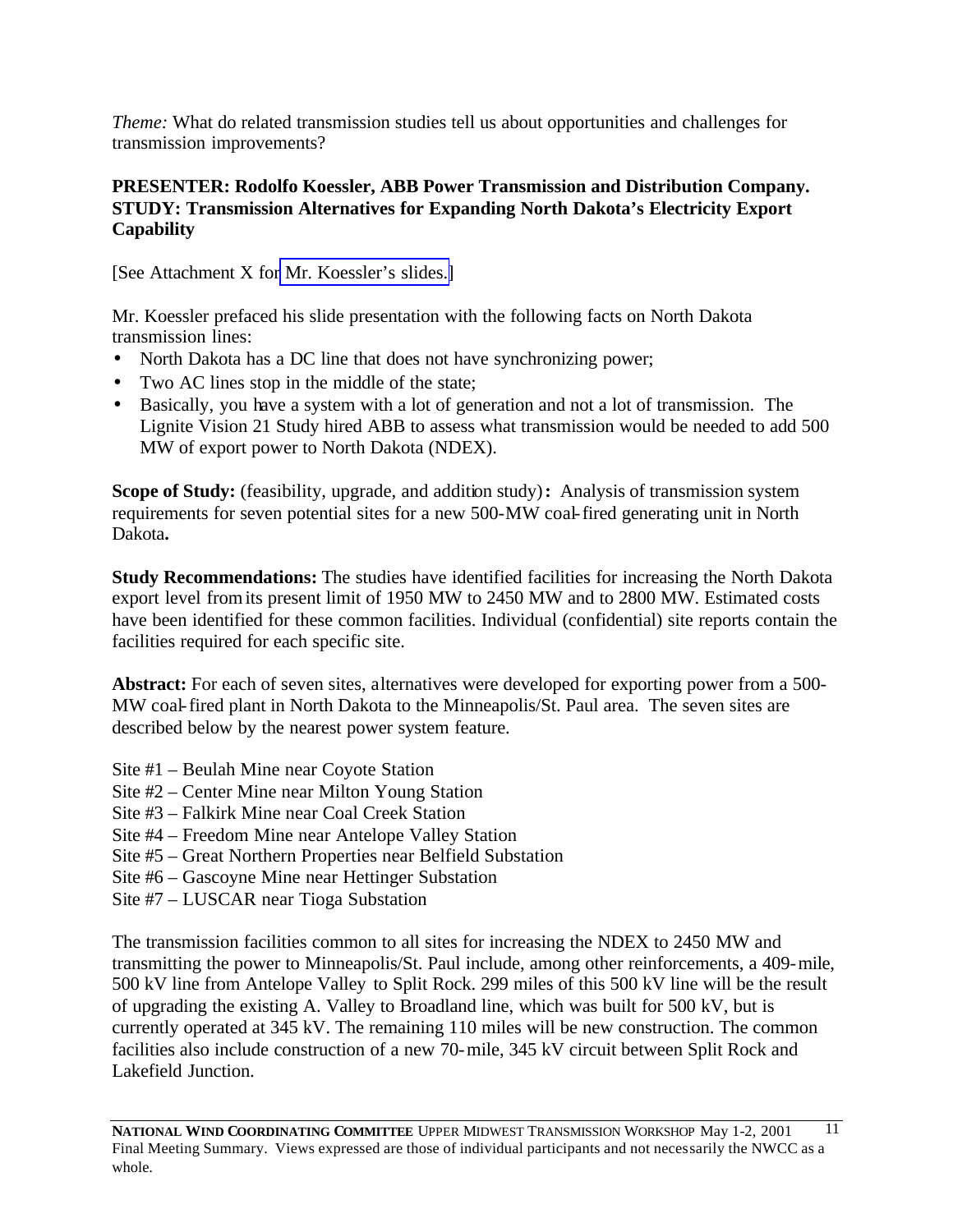*Theme:* What do related transmission studies tell us about opportunities and challenges for transmission improvements?

# **PRESENTER: Rodolfo Koessler, ABB Power Transmission and Distribution Company. STUDY: Transmission Alternatives for Expanding North Dakota's Electricity Export Capability**

[See Attachment X for [Mr. Koessler's slides.\]](http://www.nationalwind.org/events/transmission/presentations/koessler.pdf)

Mr. Koessler prefaced his slide presentation with the following facts on North Dakota transmission lines:

- North Dakota has a DC line that does not have synchronizing power;
- Two AC lines stop in the middle of the state;
- Basically, you have a system with a lot of generation and not a lot of transmission. The Lignite Vision 21 Study hired ABB to assess what transmission would be needed to add 500 MW of export power to North Dakota (NDEX).

**Scope of Study:** (feasibility, upgrade, and addition study)**:** Analysis of transmission system requirements for seven potential sites for a new 500-MW coal-fired generating unit in North Dakota**.**

**Study Recommendations:** The studies have identified facilities for increasing the North Dakota export level from its present limit of 1950 MW to 2450 MW and to 2800 MW. Estimated costs have been identified for these common facilities. Individual (confidential) site reports contain the facilities required for each specific site.

**Abstract:** For each of seven sites, alternatives were developed for exporting power from a 500- MW coal-fired plant in North Dakota to the Minneapolis/St. Paul area. The seven sites are described below by the nearest power system feature.

- Site #1 Beulah Mine near Coyote Station
- Site #2 Center Mine near Milton Young Station
- Site #3 Falkirk Mine near Coal Creek Station
- Site #4 Freedom Mine near Antelope Valley Station
- Site #5 Great Northern Properties near Belfield Substation
- Site #6 Gascoyne Mine near Hettinger Substation
- Site #7 LUSCAR near Tioga Substation

The transmission facilities common to all sites for increasing the NDEX to 2450 MW and transmitting the power to Minneapolis/St. Paul include, among other reinforcements, a 409-mile, 500 kV line from Antelope Valley to Split Rock. 299 miles of this 500 kV line will be the result of upgrading the existing A. Valley to Broadland line, which was built for 500 kV, but is currently operated at 345 kV. The remaining 110 miles will be new construction. The common facilities also include construction of a new 70-mile, 345 kV circuit between Split Rock and Lakefield Junction.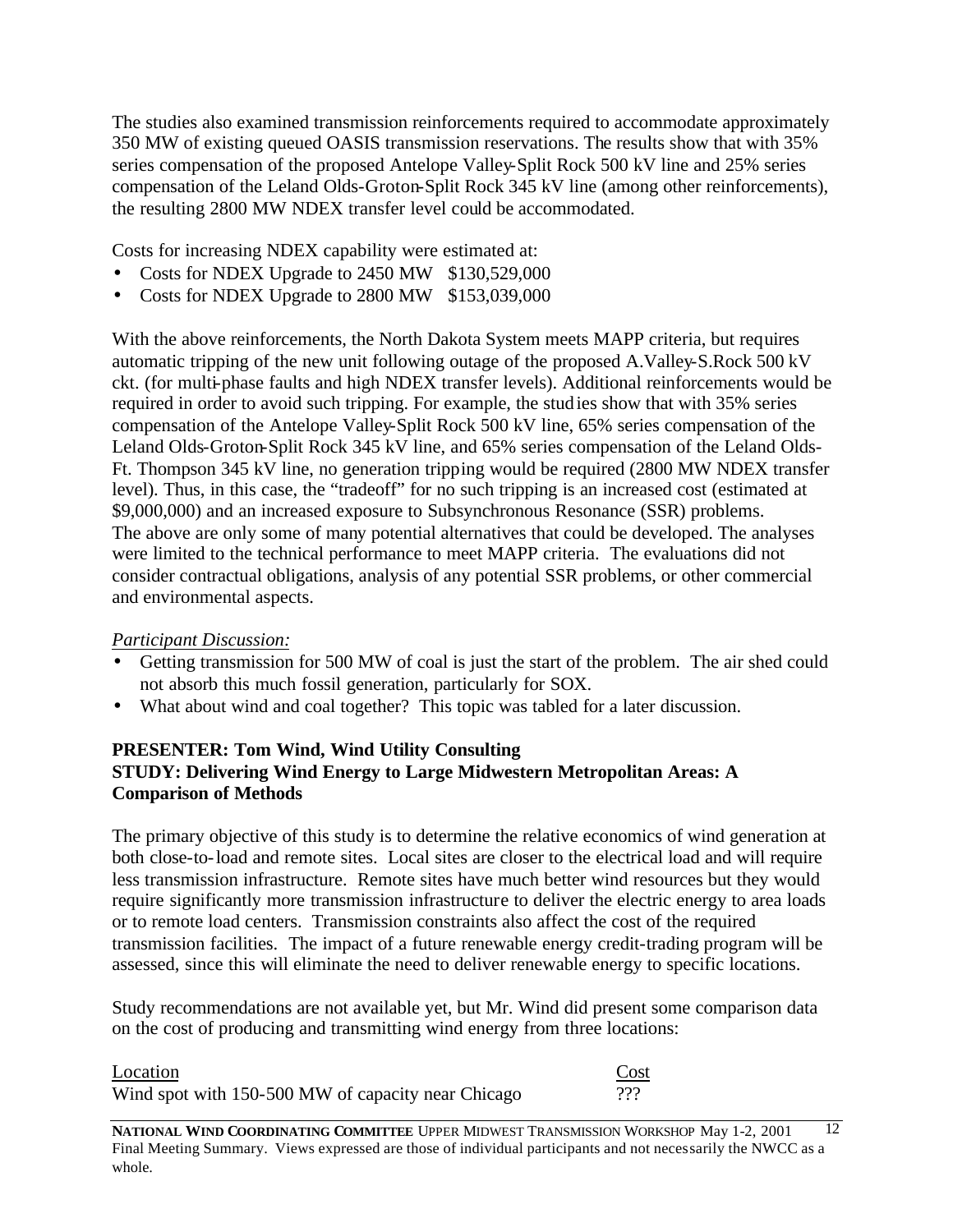The studies also examined transmission reinforcements required to accommodate approximately 350 MW of existing queued OASIS transmission reservations. The results show that with 35% series compensation of the proposed Antelope Valley-Split Rock 500 kV line and 25% series compensation of the Leland Olds-Groton-Split Rock 345 kV line (among other reinforcements), the resulting 2800 MW NDEX transfer level could be accommodated.

Costs for increasing NDEX capability were estimated at:

- Costs for NDEX Upgrade to 2450 MW \$130,529,000
- Costs for NDEX Upgrade to 2800 MW \$153,039,000

With the above reinforcements, the North Dakota System meets MAPP criteria, but requires automatic tripping of the new unit following outage of the proposed A.Valley-S.Rock 500 kV ckt. (for multi-phase faults and high NDEX transfer levels). Additional reinforcements would be required in order to avoid such tripping. For example, the studies show that with 35% series compensation of the Antelope Valley-Split Rock 500 kV line, 65% series compensation of the Leland Olds-Groton-Split Rock 345 kV line, and 65% series compensation of the Leland Olds-Ft. Thompson 345 kV line, no generation tripping would be required (2800 MW NDEX transfer level). Thus, in this case, the "tradeoff" for no such tripping is an increased cost (estimated at \$9,000,000) and an increased exposure to Subsynchronous Resonance (SSR) problems. The above are only some of many potential alternatives that could be developed. The analyses were limited to the technical performance to meet MAPP criteria. The evaluations did not consider contractual obligations, analysis of any potential SSR problems, or other commercial and environmental aspects.

### *Participant Discussion:*

- Getting transmission for 500 MW of coal is just the start of the problem. The air shed could not absorb this much fossil generation, particularly for SOX.
- What about wind and coal together? This topic was tabled for a later discussion.

### **PRESENTER: Tom Wind, Wind Utility Consulting STUDY: Delivering Wind Energy to Large Midwestern Metropolitan Areas: A Comparison of Methods**

The primary objective of this study is to determine the relative economics of wind generation at both close-to-load and remote sites. Local sites are closer to the electrical load and will require less transmission infrastructure. Remote sites have much better wind resources but they would require significantly more transmission infrastructure to deliver the electric energy to area loads or to remote load centers. Transmission constraints also affect the cost of the required transmission facilities. The impact of a future renewable energy credit-trading program will be assessed, since this will eliminate the need to deliver renewable energy to specific locations.

Study recommendations are not available yet, but Mr. Wind did present some comparison data on the cost of producing and transmitting wind energy from three locations:

| Location                                           | Cost     |
|----------------------------------------------------|----------|
| Wind spot with 150-500 MW of capacity near Chicago | ววว<br>. |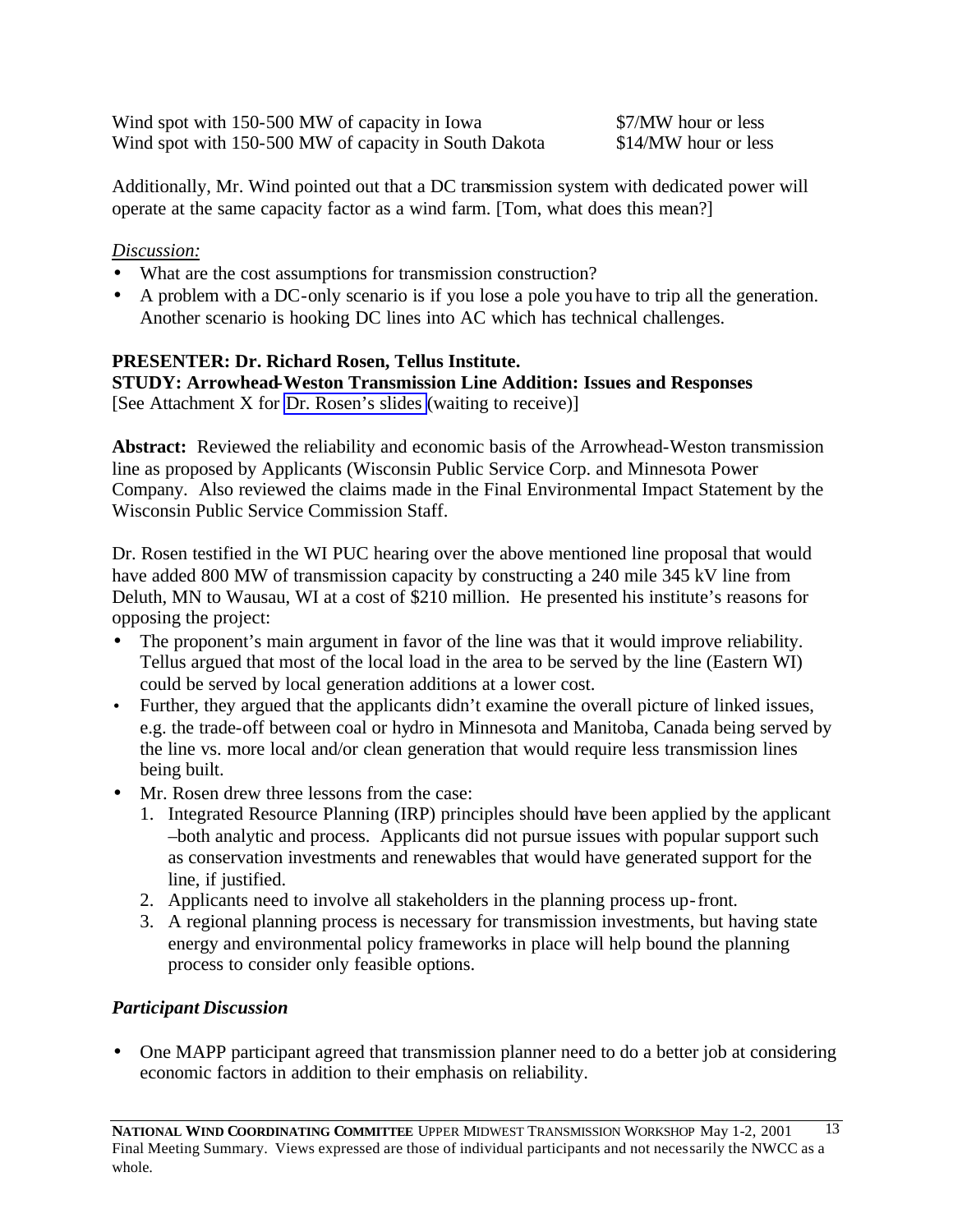Wind spot with 150-500 MW of capacity in Iowa \$7/MW hour or less Wind spot with 150-500 MW of capacity in South Dakota \$14/MW hour or less

Additionally, Mr. Wind pointed out that a DC transmission system with dedicated power will operate at the same capacity factor as a wind farm. [Tom, what does this mean?]

# *Discussion:*

- What are the cost assumptions for transmission construction?
- A problem with a DC-only scenario is if you lose a pole you have to trip all the generation. Another scenario is hooking DC lines into AC which has technical challenges.

# **PRESENTER: Dr. Richard Rosen, Tellus Institute.**

**STUDY: Arrowhead-Weston Transmission Line Addition: Issues and Responses** [See Attachment X for [Dr. Rosen's slides](http://www.nationalwind.org/events/transmission/presentations/rosen.pdf) (waiting to receive)]

**Abstract:** Reviewed the reliability and economic basis of the Arrowhead-Weston transmission line as proposed by Applicants (Wisconsin Public Service Corp. and Minnesota Power Company. Also reviewed the claims made in the Final Environmental Impact Statement by the Wisconsin Public Service Commission Staff.

Dr. Rosen testified in the WI PUC hearing over the above mentioned line proposal that would have added 800 MW of transmission capacity by constructing a 240 mile 345 kV line from Deluth, MN to Wausau, WI at a cost of \$210 million. He presented his institute's reasons for opposing the project:

- The proponent's main argument in favor of the line was that it would improve reliability. Tellus argued that most of the local load in the area to be served by the line (Eastern WI) could be served by local generation additions at a lower cost.
- Further, they argued that the applicants didn't examine the overall picture of linked issues, e.g. the trade-off between coal or hydro in Minnesota and Manitoba, Canada being served by the line vs. more local and/or clean generation that would require less transmission lines being built.
- Mr. Rosen drew three lessons from the case:
	- 1. Integrated Resource Planning (IRP) principles should have been applied by the applicant –both analytic and process. Applicants did not pursue issues with popular support such as conservation investments and renewables that would have generated support for the line, if justified.
	- 2. Applicants need to involve all stakeholders in the planning process up-front.
	- 3. A regional planning process is necessary for transmission investments, but having state energy and environmental policy frameworks in place will help bound the planning process to consider only feasible options.

# *Participant Discussion*

• One MAPP participant agreed that transmission planner need to do a better job at considering economic factors in addition to their emphasis on reliability.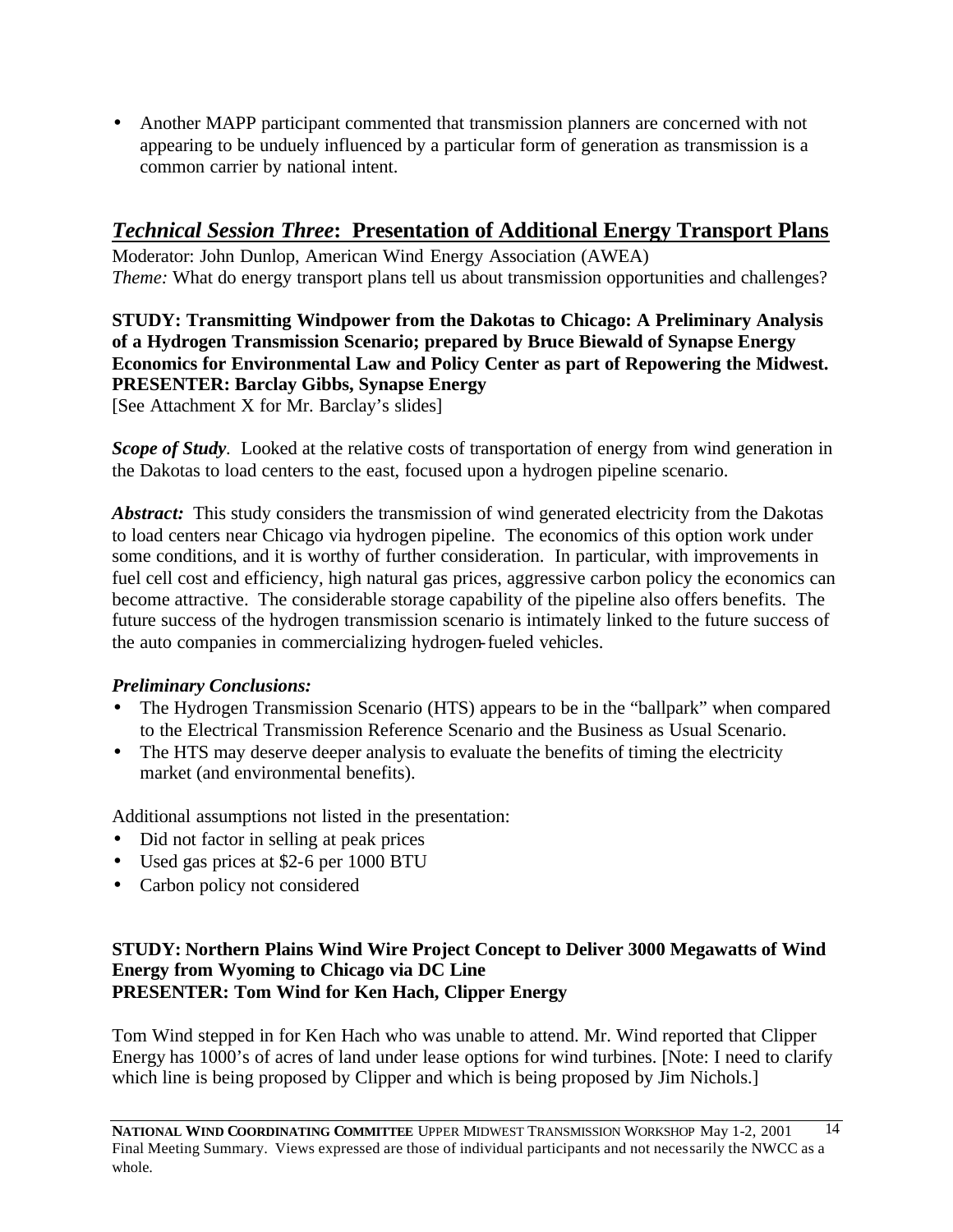• Another MAPP participant commented that transmission planners are concerned with not appearing to be unduely influenced by a particular form of generation as transmission is a common carrier by national intent.

# *Technical Session Three***: Presentation of Additional Energy Transport Plans**

Moderator: John Dunlop, American Wind Energy Association (AWEA) *Theme:* What do energy transport plans tell us about transmission opportunities and challenges?

**STUDY: Transmitting Windpower from the Dakotas to Chicago: A Preliminary Analysis of a Hydrogen Transmission Scenario; prepared by Bruce Biewald of Synapse Energy Economics for Environmental Law and Policy Center as part of Repowering the Midwest. PRESENTER: Barclay Gibbs, Synapse Energy** [See Attachment X for Mr. Barclay's slides]

*Scope of Study*. Looked at the relative costs of transportation of energy from wind generation in the Dakotas to load centers to the east, focused upon a hydrogen pipeline scenario.

*Abstract:* This study considers the transmission of wind generated electricity from the Dakotas to load centers near Chicago via hydrogen pipeline. The economics of this option work under some conditions, and it is worthy of further consideration. In particular, with improvements in fuel cell cost and efficiency, high natural gas prices, aggressive carbon policy the economics can become attractive. The considerable storage capability of the pipeline also offers benefits. The future success of the hydrogen transmission scenario is intimately linked to the future success of the auto companies in commercializing hydrogen-fueled vehicles.

# *Preliminary Conclusions:*

- The Hydrogen Transmission Scenario (HTS) appears to be in the "ballpark" when compared to the Electrical Transmission Reference Scenario and the Business as Usual Scenario.
- The HTS may deserve deeper analysis to evaluate the benefits of timing the electricity market (and environmental benefits).

Additional assumptions not listed in the presentation:

- Did not factor in selling at peak prices
- Used gas prices at \$2-6 per 1000 BTU
- Carbon policy not considered

### **STUDY: Northern Plains Wind Wire Project Concept to Deliver 3000 Megawatts of Wind Energy from Wyoming to Chicago via DC Line PRESENTER: Tom Wind for Ken Hach, Clipper Energy**

Tom Wind stepped in for Ken Hach who was unable to attend. Mr. Wind reported that Clipper Energy has 1000's of acres of land under lease options for wind turbines. [Note: I need to clarify which line is being proposed by Clipper and which is being proposed by Jim Nichols.]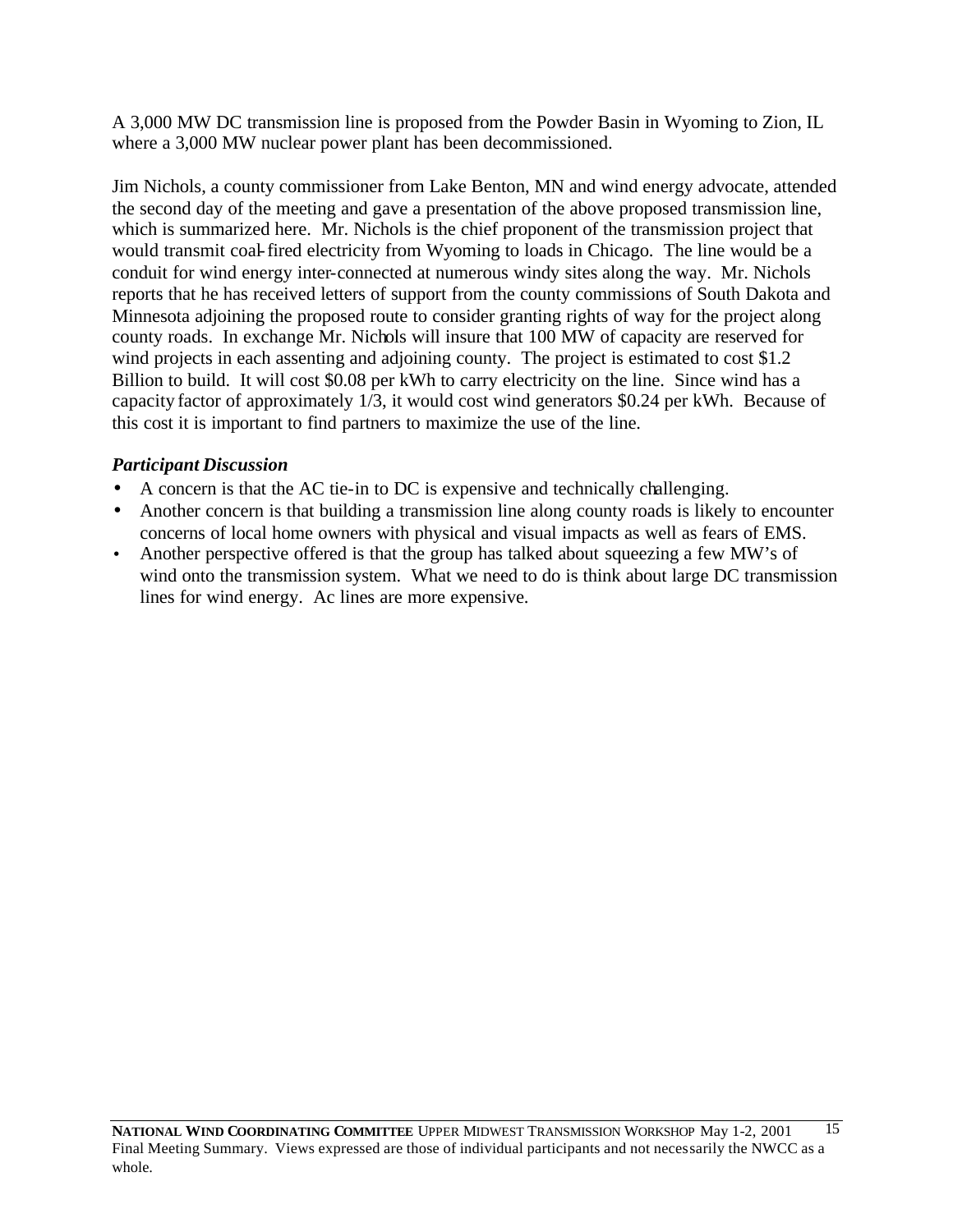A 3,000 MW DC transmission line is proposed from the Powder Basin in Wyoming to Zion, IL where a 3,000 MW nuclear power plant has been decommissioned.

Jim Nichols, a county commissioner from Lake Benton, MN and wind energy advocate, attended the second day of the meeting and gave a presentation of the above proposed transmission line, which is summarized here. Mr. Nichols is the chief proponent of the transmission project that would transmit coal-fired electricity from Wyoming to loads in Chicago. The line would be a conduit for wind energy inter-connected at numerous windy sites along the way. Mr. Nichols reports that he has received letters of support from the county commissions of South Dakota and Minnesota adjoining the proposed route to consider granting rights of way for the project along county roads. In exchange Mr. Nichols will insure that 100 MW of capacity are reserved for wind projects in each assenting and adjoining county. The project is estimated to cost \$1.2 Billion to build. It will cost \$0.08 per kWh to carry electricity on the line. Since wind has a capacity factor of approximately 1/3, it would cost wind generators \$0.24 per kWh. Because of this cost it is important to find partners to maximize the use of the line.

# *Participant Discussion*

- A concern is that the AC tie-in to DC is expensive and technically challenging.
- Another concern is that building a transmission line along county roads is likely to encounter concerns of local home owners with physical and visual impacts as well as fears of EMS.
- Another perspective offered is that the group has talked about squeezing a few MW's of wind onto the transmission system. What we need to do is think about large DC transmission lines for wind energy. Ac lines are more expensive.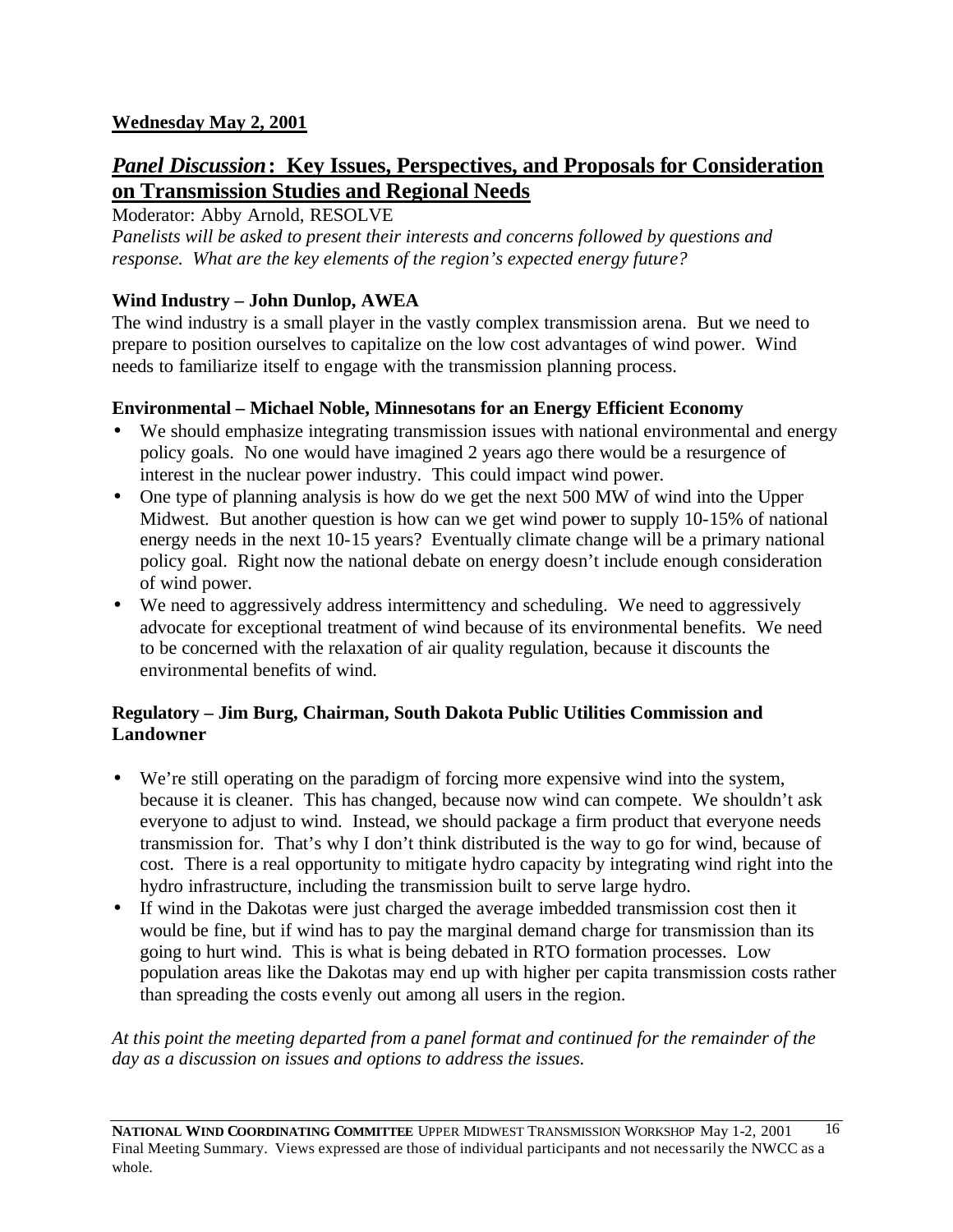# **Wednesday May 2, 2001**

# *Panel Discussion***: Key Issues, Perspectives, and Proposals for Consideration on Transmission Studies and Regional Needs**

Moderator: Abby Arnold, RESOLVE

*Panelists will be asked to present their interests and concerns followed by questions and response. What are the key elements of the region's expected energy future?*

# **Wind Industry – John Dunlop, AWEA**

The wind industry is a small player in the vastly complex transmission arena. But we need to prepare to position ourselves to capitalize on the low cost advantages of wind power. Wind needs to familiarize itself to engage with the transmission planning process.

### **Environmental – Michael Noble, Minnesotans for an Energy Efficient Economy**

- We should emphasize integrating transmission issues with national environmental and energy policy goals. No one would have imagined 2 years ago there would be a resurgence of interest in the nuclear power industry. This could impact wind power.
- One type of planning analysis is how do we get the next 500 MW of wind into the Upper Midwest. But another question is how can we get wind power to supply 10-15% of national energy needs in the next 10-15 years? Eventually climate change will be a primary national policy goal. Right now the national debate on energy doesn't include enough consideration of wind power.
- We need to aggressively address intermittency and scheduling. We need to aggressively advocate for exceptional treatment of wind because of its environmental benefits. We need to be concerned with the relaxation of air quality regulation, because it discounts the environmental benefits of wind.

### **Regulatory – Jim Burg, Chairman, South Dakota Public Utilities Commission and Landowner**

- We're still operating on the paradigm of forcing more expensive wind into the system, because it is cleaner. This has changed, because now wind can compete. We shouldn't ask everyone to adjust to wind. Instead, we should package a firm product that everyone needs transmission for. That's why I don't think distributed is the way to go for wind, because of cost. There is a real opportunity to mitigate hydro capacity by integrating wind right into the hydro infrastructure, including the transmission built to serve large hydro.
- If wind in the Dakotas were just charged the average imbedded transmission cost then it would be fine, but if wind has to pay the marginal demand charge for transmission than its going to hurt wind. This is what is being debated in RTO formation processes. Low population areas like the Dakotas may end up with higher per capita transmission costs rather than spreading the costs evenly out among all users in the region.

*At this point the meeting departed from a panel format and continued for the remainder of the day as a discussion on issues and options to address the issues.*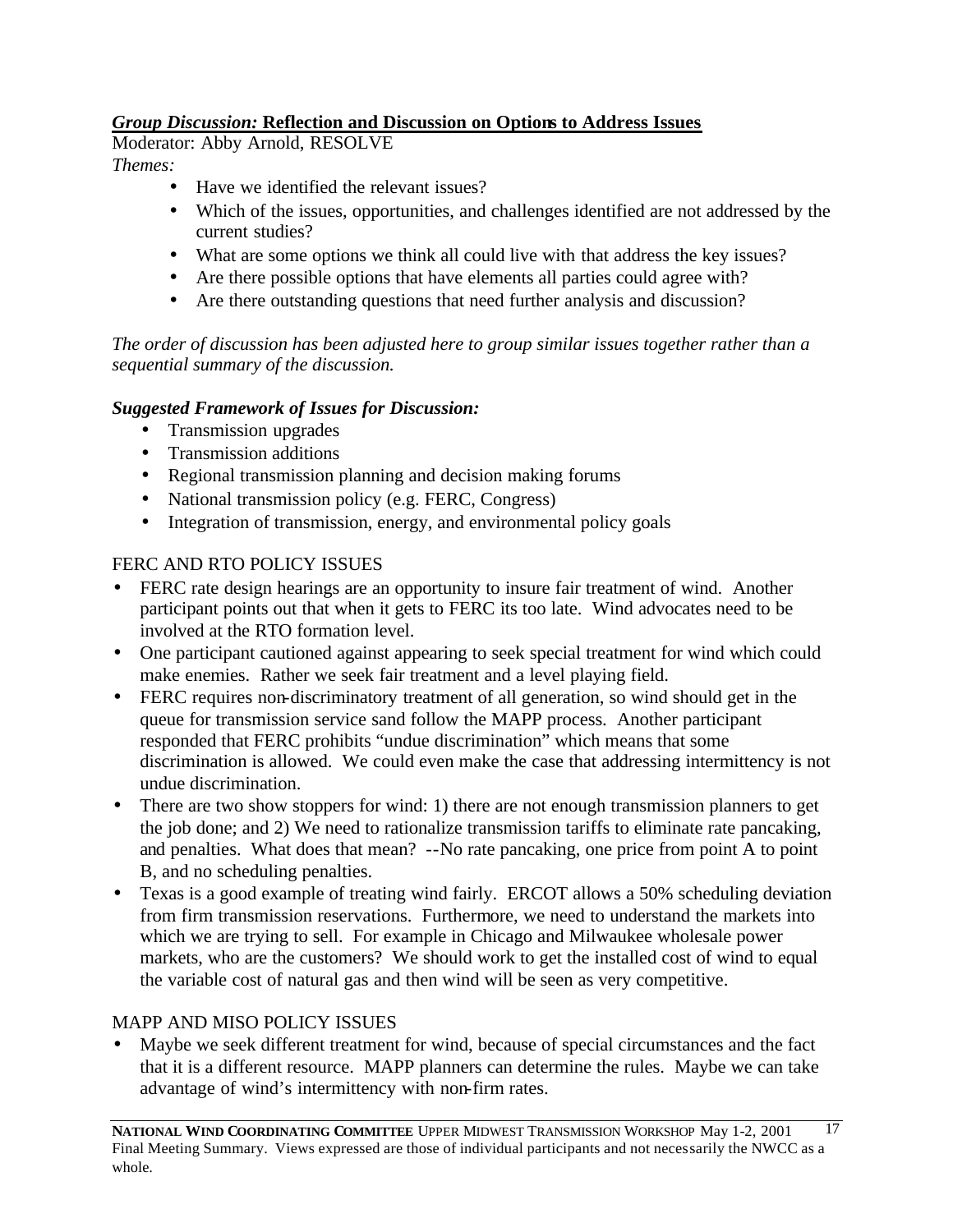# *Group Discussion:* **Reflection and Discussion on Options to Address Issues**

Moderator: Abby Arnold, RESOLVE *Themes:*

- Have we identified the relevant issues?
- Which of the issues, opportunities, and challenges identified are not addressed by the current studies?
- What are some options we think all could live with that address the key issues?
- Are there possible options that have elements all parties could agree with?
- Are there outstanding questions that need further analysis and discussion?

*The order of discussion has been adjusted here to group similar issues together rather than a sequential summary of the discussion.*

# *Suggested Framework of Issues for Discussion:*

- Transmission upgrades
- Transmission additions
- Regional transmission planning and decision making forums
- National transmission policy (e.g. FERC, Congress)
- Integration of transmission, energy, and environmental policy goals

# FERC AND RTO POLICY ISSUES

- FERC rate design hearings are an opportunity to insure fair treatment of wind. Another participant points out that when it gets to FERC its too late. Wind advocates need to be involved at the RTO formation level.
- One participant cautioned against appearing to seek special treatment for wind which could make enemies. Rather we seek fair treatment and a level playing field.
- FERC requires non-discriminatory treatment of all generation, so wind should get in the queue for transmission service sand follow the MAPP process. Another participant responded that FERC prohibits "undue discrimination" which means that some discrimination is allowed. We could even make the case that addressing intermittency is not undue discrimination.
- There are two show stoppers for wind: 1) there are not enough transmission planners to get the job done; and 2) We need to rationalize transmission tariffs to eliminate rate pancaking, and penalties. What does that mean? --No rate pancaking, one price from point A to point B, and no scheduling penalties.
- Texas is a good example of treating wind fairly. ERCOT allows a 50% scheduling deviation from firm transmission reservations. Furthermore, we need to understand the markets into which we are trying to sell. For example in Chicago and Milwaukee wholesale power markets, who are the customers? We should work to get the installed cost of wind to equal the variable cost of natural gas and then wind will be seen as very competitive.

### MAPP AND MISO POLICY ISSUES

• Maybe we seek different treatment for wind, because of special circumstances and the fact that it is a different resource. MAPP planners can determine the rules. Maybe we can take advantage of wind's intermittency with non-firm rates.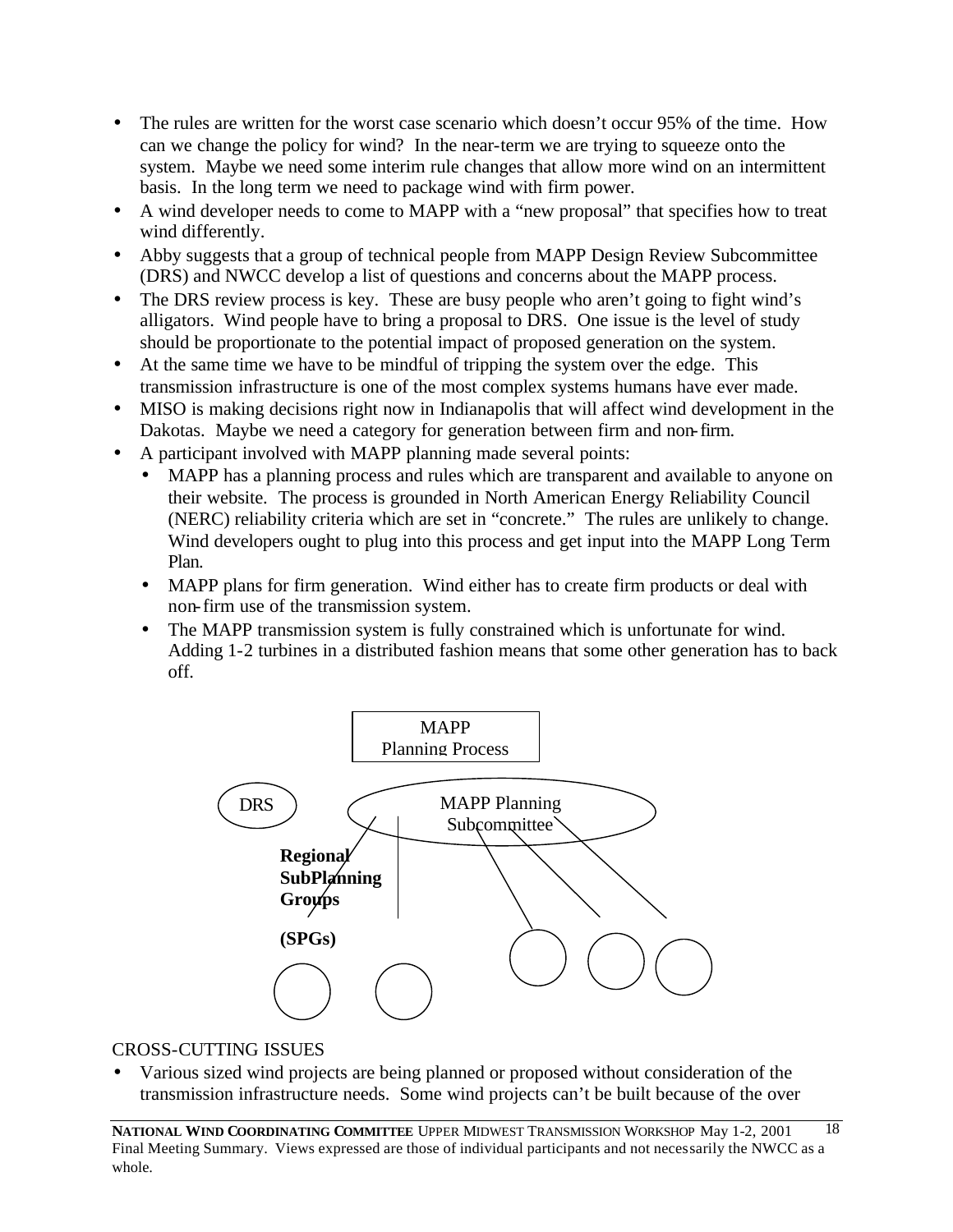- The rules are written for the worst case scenario which doesn't occur 95% of the time. How can we change the policy for wind? In the near-term we are trying to squeeze onto the system. Maybe we need some interim rule changes that allow more wind on an intermittent basis. In the long term we need to package wind with firm power.
- A wind developer needs to come to MAPP with a "new proposal" that specifies how to treat wind differently.
- Abby suggests that a group of technical people from MAPP Design Review Subcommittee (DRS) and NWCC develop a list of questions and concerns about the MAPP process.
- The DRS review process is key. These are busy people who aren't going to fight wind's alligators. Wind people have to bring a proposal to DRS. One issue is the level of study should be proportionate to the potential impact of proposed generation on the system.
- At the same time we have to be mindful of tripping the system over the edge. This transmission infrastructure is one of the most complex systems humans have ever made.
- MISO is making decisions right now in Indianapolis that will affect wind development in the Dakotas. Maybe we need a category for generation between firm and non-firm.
- A participant involved with MAPP planning made several points:
	- MAPP has a planning process and rules which are transparent and available to anyone on their website. The process is grounded in North American Energy Reliability Council (NERC) reliability criteria which are set in "concrete." The rules are unlikely to change. Wind developers ought to plug into this process and get input into the MAPP Long Term Plan.
	- MAPP plans for firm generation. Wind either has to create firm products or deal with non-firm use of the transmission system.
	- The MAPP transmission system is fully constrained which is unfortunate for wind. Adding 1-2 turbines in a distributed fashion means that some other generation has to back off.



### CROSS-CUTTING ISSUES

• Various sized wind projects are being planned or proposed without consideration of the transmission infrastructure needs. Some wind projects can't be built because of the over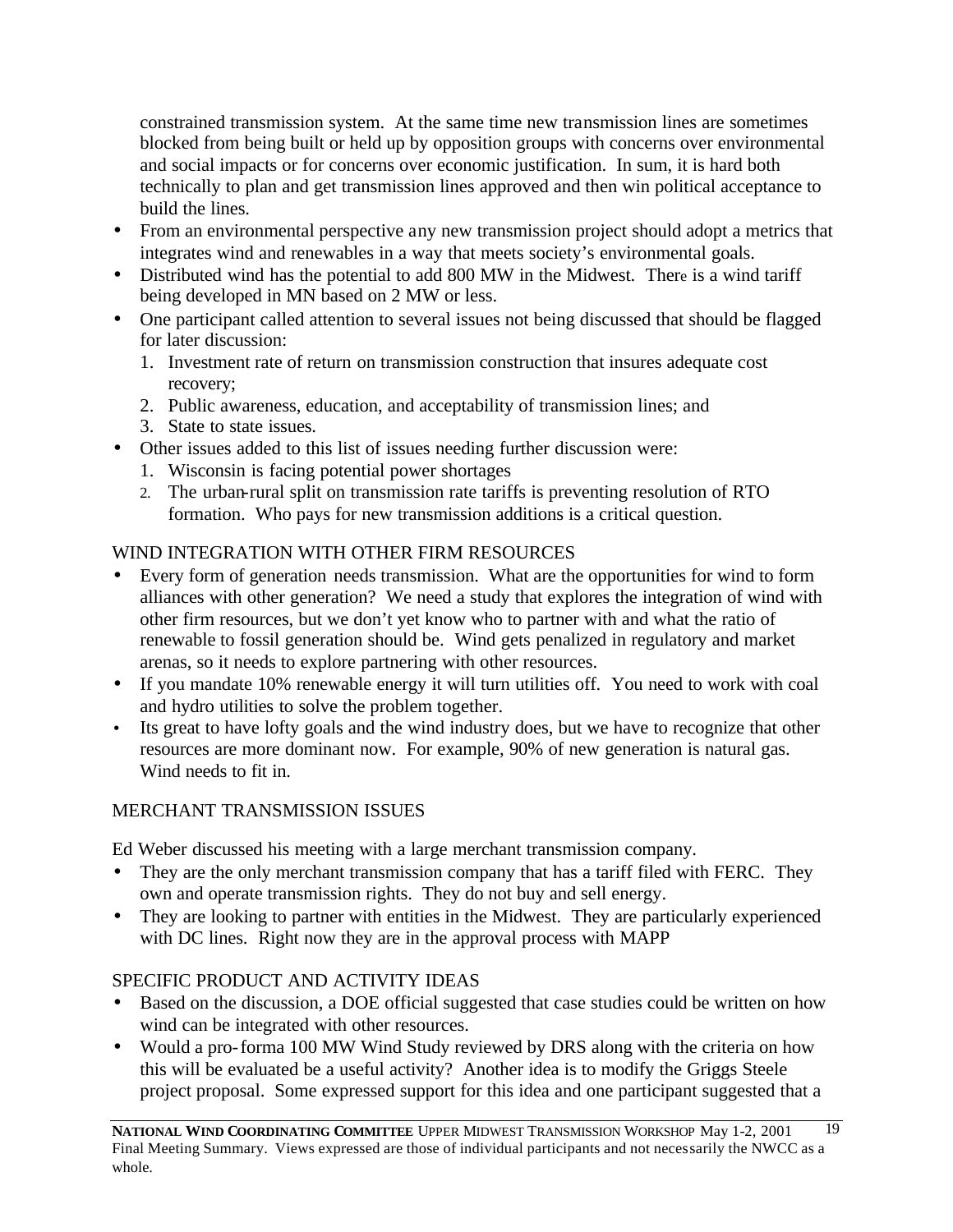constrained transmission system. At the same time new transmission lines are sometimes blocked from being built or held up by opposition groups with concerns over environmental and social impacts or for concerns over economic justification. In sum, it is hard both technically to plan and get transmission lines approved and then win political acceptance to build the lines.

- From an environmental perspective any new transmission project should adopt a metrics that integrates wind and renewables in a way that meets society's environmental goals.
- Distributed wind has the potential to add 800 MW in the Midwest. There is a wind tariff being developed in MN based on 2 MW or less.
- One participant called attention to several issues not being discussed that should be flagged for later discussion:
	- 1. Investment rate of return on transmission construction that insures adequate cost recovery;
	- 2. Public awareness, education, and acceptability of transmission lines; and
	- 3. State to state issues.
- Other issues added to this list of issues needing further discussion were:
	- 1. Wisconsin is facing potential power shortages
	- 2. The urban-rural split on transmission rate tariffs is preventing resolution of RTO formation. Who pays for new transmission additions is a critical question.

# WIND INTEGRATION WITH OTHER FIRM RESOURCES

- Every form of generation needs transmission. What are the opportunities for wind to form alliances with other generation? We need a study that explores the integration of wind with other firm resources, but we don't yet know who to partner with and what the ratio of renewable to fossil generation should be. Wind gets penalized in regulatory and market arenas, so it needs to explore partnering with other resources.
- If you mandate 10% renewable energy it will turn utilities off. You need to work with coal and hydro utilities to solve the problem together.
- Its great to have lofty goals and the wind industry does, but we have to recognize that other resources are more dominant now. For example, 90% of new generation is natural gas. Wind needs to fit in.

# MERCHANT TRANSMISSION ISSUES

Ed Weber discussed his meeting with a large merchant transmission company.

- They are the only merchant transmission company that has a tariff filed with FERC. They own and operate transmission rights. They do not buy and sell energy.
- They are looking to partner with entities in the Midwest. They are particularly experienced with DC lines. Right now they are in the approval process with MAPP

# SPECIFIC PRODUCT AND ACTIVITY IDEAS

- Based on the discussion, a DOE official suggested that case studies could be written on how wind can be integrated with other resources.
- Would a pro-forma 100 MW Wind Study reviewed by DRS along with the criteria on how this will be evaluated be a useful activity? Another idea is to modify the Griggs Steele project proposal. Some expressed support for this idea and one participant suggested that a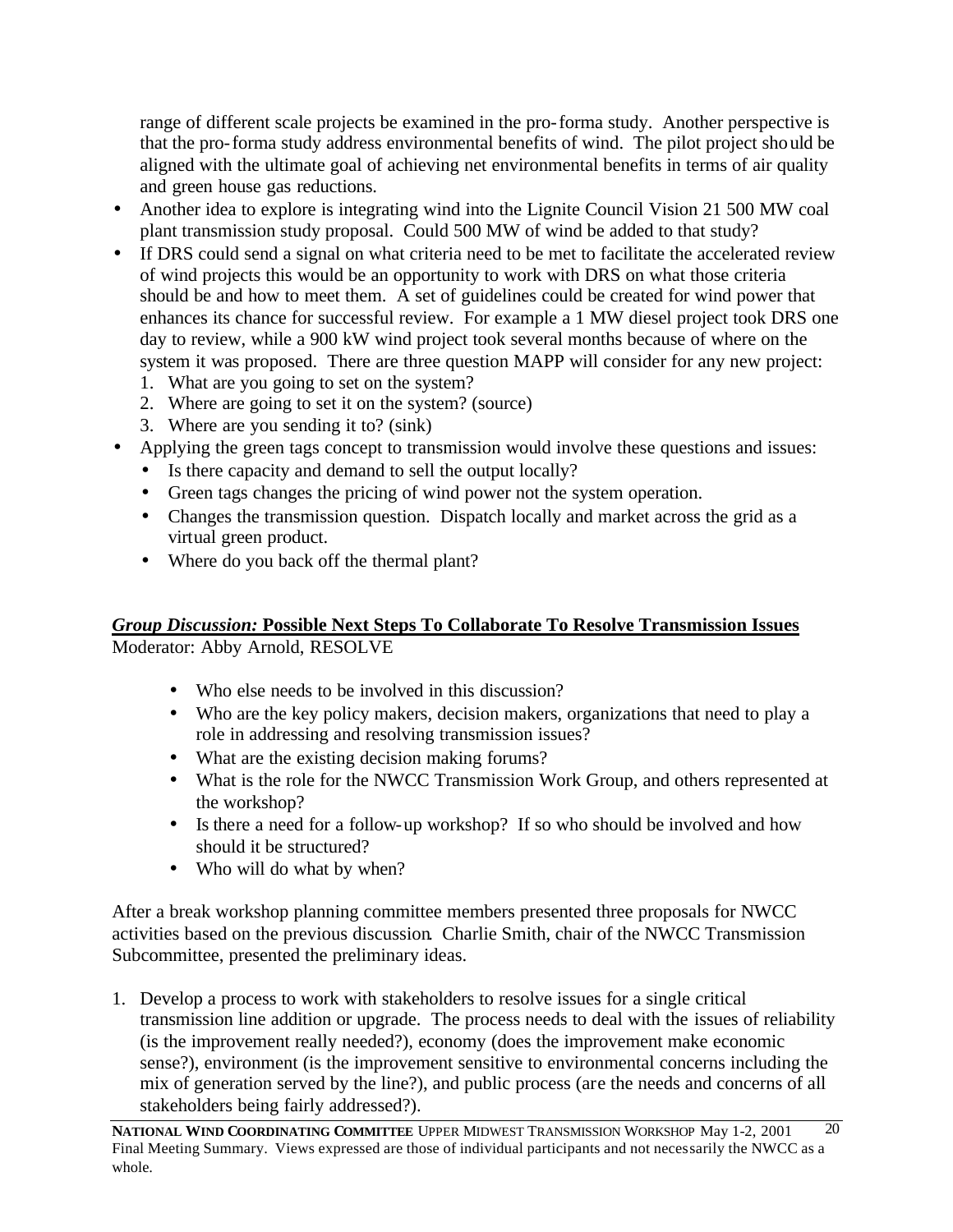range of different scale projects be examined in the pro-forma study. Another perspective is that the pro-forma study address environmental benefits of wind. The pilot project should be aligned with the ultimate goal of achieving net environmental benefits in terms of air quality and green house gas reductions.

- Another idea to explore is integrating wind into the Lignite Council Vision 21 500 MW coal plant transmission study proposal. Could 500 MW of wind be added to that study?
- If DRS could send a signal on what criteria need to be met to facilitate the accelerated review of wind projects this would be an opportunity to work with DRS on what those criteria should be and how to meet them. A set of guidelines could be created for wind power that enhances its chance for successful review. For example a 1 MW diesel project took DRS one day to review, while a 900 kW wind project took several months because of where on the system it was proposed. There are three question MAPP will consider for any new project:
	- 1. What are you going to set on the system?
	- 2. Where are going to set it on the system? (source)
	- 3. Where are you sending it to? (sink)
- Applying the green tags concept to transmission would involve these questions and issues:
	- Is there capacity and demand to sell the output locally?
	- Green tags changes the pricing of wind power not the system operation.
	- Changes the transmission question. Dispatch locally and market across the grid as a virtual green product.
	- Where do you back off the thermal plant?

# *Group Discussion:* **Possible Next Steps To Collaborate To Resolve Transmission Issues** Moderator: Abby Arnold, RESOLVE

- Who else needs to be involved in this discussion?
- Who are the key policy makers, decision makers, organizations that need to play a role in addressing and resolving transmission issues?
- What are the existing decision making forums?
- What is the role for the NWCC Transmission Work Group, and others represented at the workshop?
- Is there a need for a follow-up workshop? If so who should be involved and how should it be structured?
- Who will do what by when?

After a break workshop planning committee members presented three proposals for NWCC activities based on the previous discussion. Charlie Smith, chair of the NWCC Transmission Subcommittee, presented the preliminary ideas.

1. Develop a process to work with stakeholders to resolve issues for a single critical transmission line addition or upgrade. The process needs to deal with the issues of reliability (is the improvement really needed?), economy (does the improvement make economic sense?), environment (is the improvement sensitive to environmental concerns including the mix of generation served by the line?), and public process (are the needs and concerns of all stakeholders being fairly addressed?).

**NATIONAL WIND COORDINATING COMMITTEE** UPPER MIDWEST TRANSMISSION WORKSHOP May 1-2, 2001 Final Meeting Summary. Views expressed are those of individual participants and not necessarily the NWCC as a whole. 20